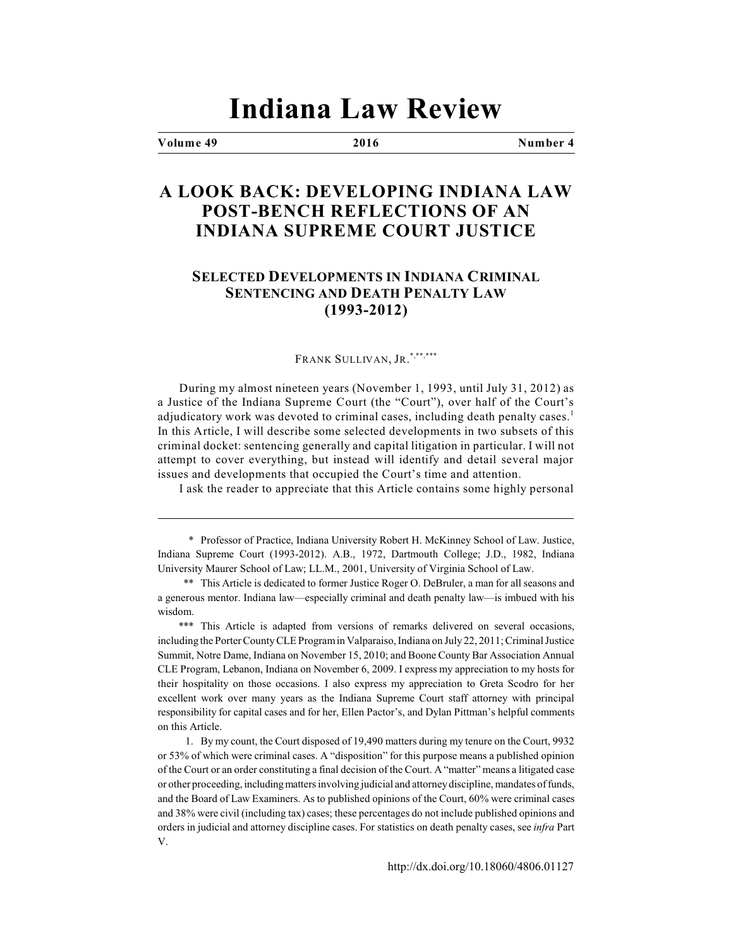# **Indiana Law Review**

#### **Volume 49 2016 Number 4**

## **A LOOK BACK: DEVELOPING INDIANA LAW POST-BENCH REFLECTIONS OF AN INDIANA SUPREME COURT JUSTICE**

### **SELECTED DEVELOPMENTS IN INDIANA CRIMINAL SENTENCING AND DEATH PENALTY LAW (1993-2012)**

#### FRANK SULLIVAN, JR. \*,\*\*,\*\*\*

During my almost nineteen years (November 1, 1993, until July 31, 2012) as a Justice of the Indiana Supreme Court (the "Court"), over half of the Court's adjudicatory work was devoted to criminal cases, including death penalty cases.<sup>1</sup> In this Article, I will describe some selected developments in two subsets of this criminal docket: sentencing generally and capital litigation in particular. I will not attempt to cover everything, but instead will identify and detail several major issues and developments that occupied the Court's time and attention.

I ask the reader to appreciate that this Article contains some highly personal

\* Professor of Practice, Indiana University Robert H. McKinney School of Law. Justice, Indiana Supreme Court (1993-2012). A.B., 1972, Dartmouth College; J.D., 1982, Indiana University Maurer School of Law; LL.M., 2001, University of Virginia School of Law.

\*\* This Article is dedicated to former Justice Roger O. DeBruler, a man for all seasons and a generous mentor. Indiana law—especially criminal and death penalty law—is imbued with his wisdom.

\*\*\* This Article is adapted from versions of remarks delivered on several occasions, including the Porter County CLE Program in Valparaiso, Indiana on July 22, 2011; Criminal Justice Summit, Notre Dame, Indiana on November 15, 2010; and Boone County Bar Association Annual CLE Program, Lebanon, Indiana on November 6, 2009. I express my appreciation to my hosts for their hospitality on those occasions. I also express my appreciation to Greta Scodro for her excellent work over many years as the Indiana Supreme Court staff attorney with principal responsibility for capital cases and for her, Ellen Pactor's, and Dylan Pittman's helpful comments on this Article.

1. By my count, the Court disposed of 19,490 matters during my tenure on the Court, 9932 or 53% of which were criminal cases. A "disposition" for this purpose means a published opinion of the Court or an order constituting a final decision of the Court. A "matter" means a litigated case or other proceeding, including matters involving judicial and attorney discipline, mandates of funds, and the Board of Law Examiners. As to published opinions of the Court, 60% were criminal cases and 38% were civil (including tax) cases; these percentages do not include published opinions and orders in judicial and attorney discipline cases. For statistics on death penalty cases, see *infra* Part V.

http://dx.doi.org/10.18060/4806.01127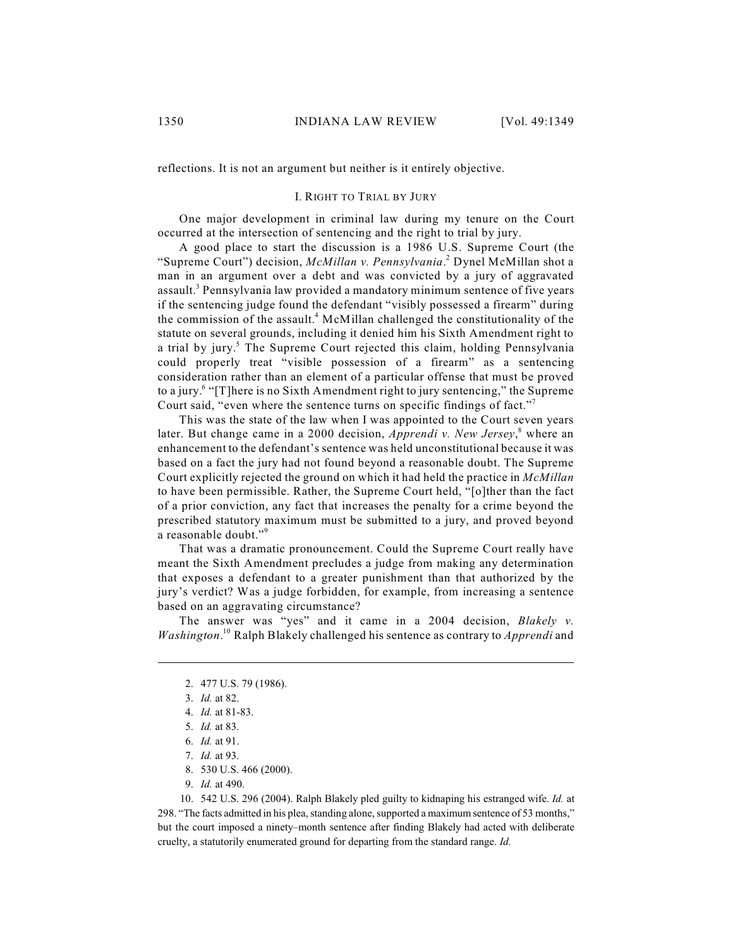reflections. It is not an argument but neither is it entirely objective.

#### I. RIGHT TO TRIAL BY JURY

One major development in criminal law during my tenure on the Court occurred at the intersection of sentencing and the right to trial by jury.

A good place to start the discussion is a 1986 U.S. Supreme Court (the "Supreme Court") decision, *McMillan v. Pennsylvania*.<sup>2</sup> Dynel McMillan shot a man in an argument over a debt and was convicted by a jury of aggravated assault.<sup>3</sup> Pennsylvania law provided a mandatory minimum sentence of five years if the sentencing judge found the defendant "visibly possessed a firearm" during the commission of the assault.<sup>4</sup> McMillan challenged the constitutionality of the statute on several grounds, including it denied him his Sixth Amendment right to a trial by jury.<sup>5</sup> The Supreme Court rejected this claim, holding Pennsylvania could properly treat "visible possession of a firearm" as a sentencing consideration rather than an element of a particular offense that must be proved to a jury.<sup>6</sup> "[T]here is no Sixth Amendment right to jury sentencing," the Supreme Court said, "even where the sentence turns on specific findings of fact."<sup>7</sup>

This was the state of the law when I was appointed to the Court seven years later. But change came in a 2000 decision, *Apprendi v. New Jersey*,<sup>8</sup> where an enhancement to the defendant's sentence was held unconstitutional because it was based on a fact the jury had not found beyond a reasonable doubt. The Supreme Court explicitly rejected the ground on which it had held the practice in *McMillan* to have been permissible. Rather, the Supreme Court held, "[o]ther than the fact of a prior conviction, any fact that increases the penalty for a crime beyond the prescribed statutory maximum must be submitted to a jury, and proved beyond a reasonable doubt." 9

That was a dramatic pronouncement. Could the Supreme Court really have meant the Sixth Amendment precludes a judge from making any determination that exposes a defendant to a greater punishment than that authorized by the jury's verdict? Was a judge forbidden, for example, from increasing a sentence based on an aggravating circumstance?

The answer was "yes" and it came in a 2004 decision, *Blakely v. Washington*.<sup>10</sup> Ralph Blakely challenged his sentence as contrary to *Apprendi* and

- 8. 530 U.S. 466 (2000).
- 9. *Id.* at 490.

10. 542 U.S. 296 (2004). Ralph Blakely pled guilty to kidnaping his estranged wife. *Id.* at 298. "The facts admitted in his plea, standing alone, supported a maximum sentence of 53 months," but the court imposed a ninety–month sentence after finding Blakely had acted with deliberate cruelty, a statutorily enumerated ground for departing from the standard range. *Id.* 

<sup>2.</sup> 477 U.S. 79 (1986).

<sup>3.</sup> *Id.* at 82.

<sup>4.</sup> *Id.* at 81-83.

<sup>5.</sup> *Id.* at 83.

<sup>6.</sup> *Id.* at 91.

<sup>7.</sup> *Id.* at 93.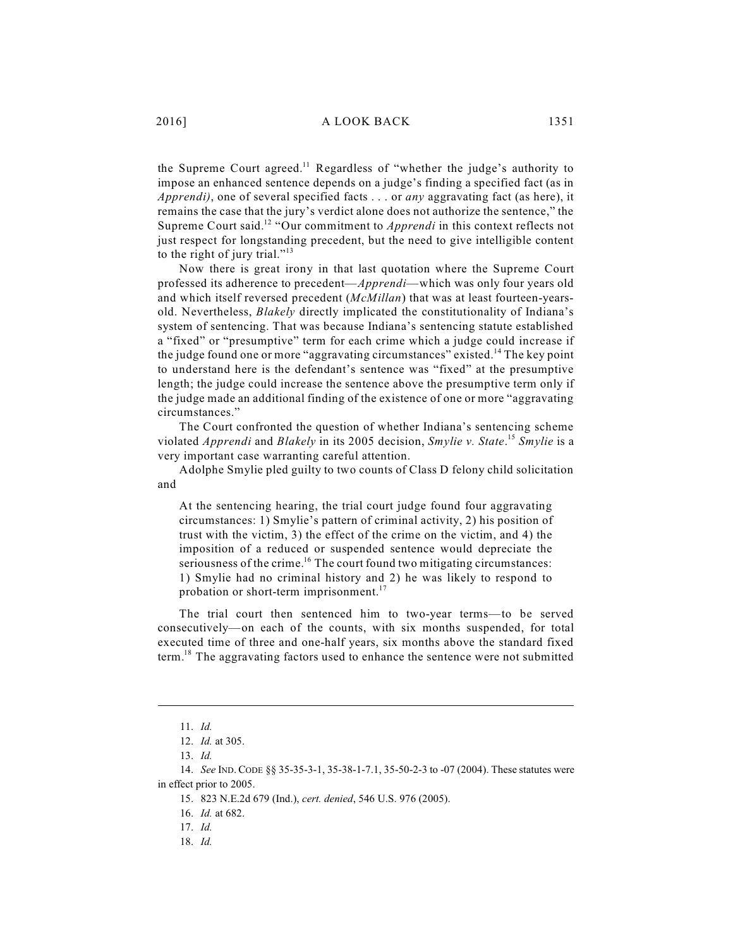the Supreme Court agreed.<sup>11</sup> Regardless of "whether the judge's authority to impose an enhanced sentence depends on a judge's finding a specified fact (as in *Apprendi)*, one of several specified facts . . . or *any* aggravating fact (as here), it remains the case that the jury's verdict alone does not authorize the sentence," the Supreme Court said.<sup>12</sup> "Our commitment to *Apprendi* in this context reflects not just respect for longstanding precedent, but the need to give intelligible content to the right of jury trial." $13$ 

Now there is great irony in that last quotation where the Supreme Court professed its adherence to precedent—*Apprendi*—which was only four years old and which itself reversed precedent (*McMillan*) that was at least fourteen-yearsold. Nevertheless, *Blakely* directly implicated the constitutionality of Indiana's system of sentencing. That was because Indiana's sentencing statute established a "fixed" or "presumptive" term for each crime which a judge could increase if the judge found one or more "aggravating circumstances" existed.<sup>14</sup> The key point to understand here is the defendant's sentence was "fixed" at the presumptive length; the judge could increase the sentence above the presumptive term only if the judge made an additional finding of the existence of one or more "aggravating circumstances."

The Court confronted the question of whether Indiana's sentencing scheme violated *Apprendi* and *Blakely* in its 2005 decision, *Smylie v. State*. *Smylie* is a 15 very important case warranting careful attention.

Adolphe Smylie pled guilty to two counts of Class D felony child solicitation and

At the sentencing hearing, the trial court judge found four aggravating circumstances: 1) Smylie's pattern of criminal activity, 2) his position of trust with the victim, 3) the effect of the crime on the victim, and 4) the imposition of a reduced or suspended sentence would depreciate the seriousness of the crime.<sup>16</sup> The court found two mitigating circumstances: 1) Smylie had no criminal history and 2) he was likely to respond to probation or short-term imprisonment.<sup>17</sup>

The trial court then sentenced him to two-year terms—to be served consecutively—on each of the counts, with six months suspended, for total executed time of three and one-half years, six months above the standard fixed term.<sup>18</sup> The aggravating factors used to enhance the sentence were not submitted

<sup>11.</sup> *Id.*

<sup>12.</sup> *Id.* at 305.

<sup>13.</sup> *Id.*

<sup>14.</sup> *See* IND.CODE §§ 35-35-3-1, 35-38-1-7.1, 35-50-2-3 to -07 (2004). These statutes were in effect prior to 2005.

<sup>15.</sup> 823 N.E.2d 679 (Ind.), *cert. denied*, 546 U.S. 976 (2005).

<sup>16.</sup> *Id.* at 682.

<sup>17.</sup> *Id.*

<sup>18.</sup> *Id.*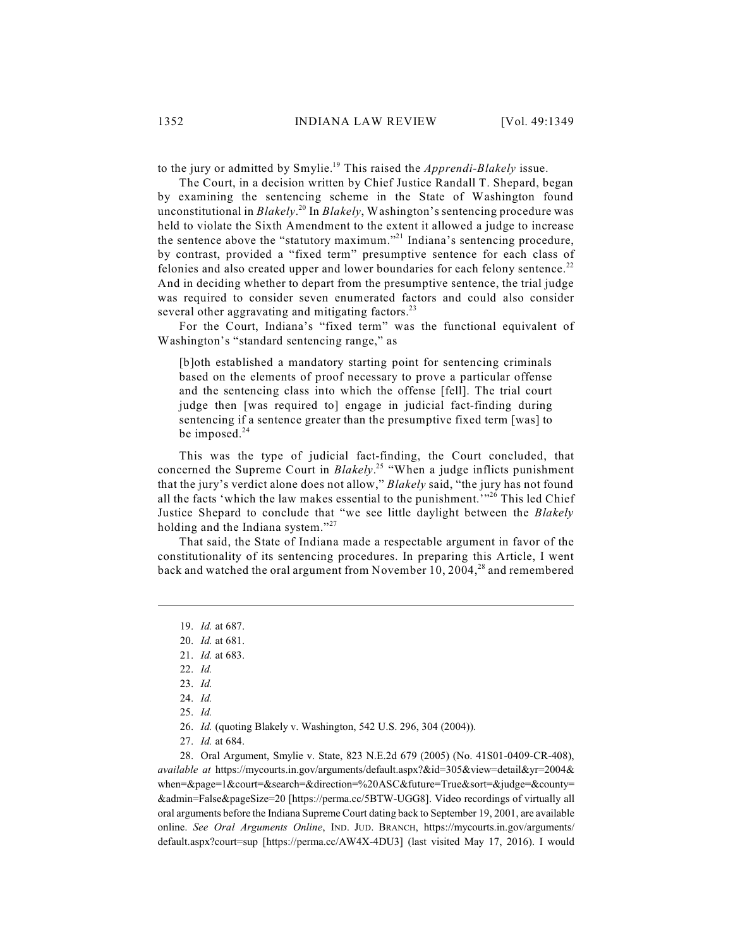to the jury or admitted by Smylie.<sup>19</sup> This raised the *Apprendi-Blakely* issue.

The Court, in a decision written by Chief Justice Randall T. Shepard, began by examining the sentencing scheme in the State of Washington found unconstitutional in *Blakely*.<sup>20</sup> In *Blakely*, Washington's sentencing procedure was held to violate the Sixth Amendment to the extent it allowed a judge to increase the sentence above the "statutory maximum."<sup>21</sup> Indiana's sentencing procedure, by contrast, provided a "fixed term" presumptive sentence for each class of felonies and also created upper and lower boundaries for each felony sentence.<sup>22</sup> And in deciding whether to depart from the presumptive sentence, the trial judge was required to consider seven enumerated factors and could also consider several other aggravating and mitigating factors.<sup>23</sup>

For the Court, Indiana's "fixed term" was the functional equivalent of Washington's "standard sentencing range," as

[b]oth established a mandatory starting point for sentencing criminals based on the elements of proof necessary to prove a particular offense and the sentencing class into which the offense [fell]. The trial court judge then [was required to] engage in judicial fact-finding during sentencing if a sentence greater than the presumptive fixed term [was] to be imposed.<sup>24</sup>

This was the type of judicial fact-finding, the Court concluded, that concerned the Supreme Court in *Blakely*.<sup>25</sup> "When a judge inflicts punishment that the jury's verdict alone does not allow," *Blakely* said, "the jury has not found all the facts 'which the law makes essential to the punishment.<sup>'"26</sup> This led Chief Justice Shepard to conclude that "we see little daylight between the *Blakely* holding and the Indiana system."<sup>27</sup>

That said, the State of Indiana made a respectable argument in favor of the constitutionality of its sentencing procedures. In preparing this Article, I went back and watched the oral argument from November 10, 2004, $^{28}$  and remembered

- 26. *Id.* (quoting Blakely v. Washington, 542 U.S. 296, 304 (2004)).
- 27. *Id.* at 684.

28. Oral Argument, Smylie v. State, 823 N.E.2d 679 (2005) (No. 41S01-0409-CR-408), *available at* https://mycourts.in.gov/arguments/default.aspx?&id=305&view=detail&yr=2004& when=&page=1&court=&search=&direction=%20ASC&future=True&sort=&judge=&county= &admin=False&pageSize=20 [https://perma.cc/5BTW-UGG8]. Video recordings of virtually all oral arguments before the Indiana Supreme Court dating back to September 19, 2001, are available online. *See Oral Arguments Online*, IND. JUD. BRANCH, https://mycourts.in.gov/arguments/ default.aspx?court=sup [https://perma.cc/AW4X-4DU3] (last visited May 17, 2016). I would

<sup>19.</sup> *Id.* at 687.

<sup>20.</sup> *Id.* at 681.

<sup>21.</sup> *Id.* at 683.

<sup>22.</sup> *Id.*

<sup>23.</sup> *Id.*

<sup>24.</sup> *Id.*

<sup>25.</sup> *Id.*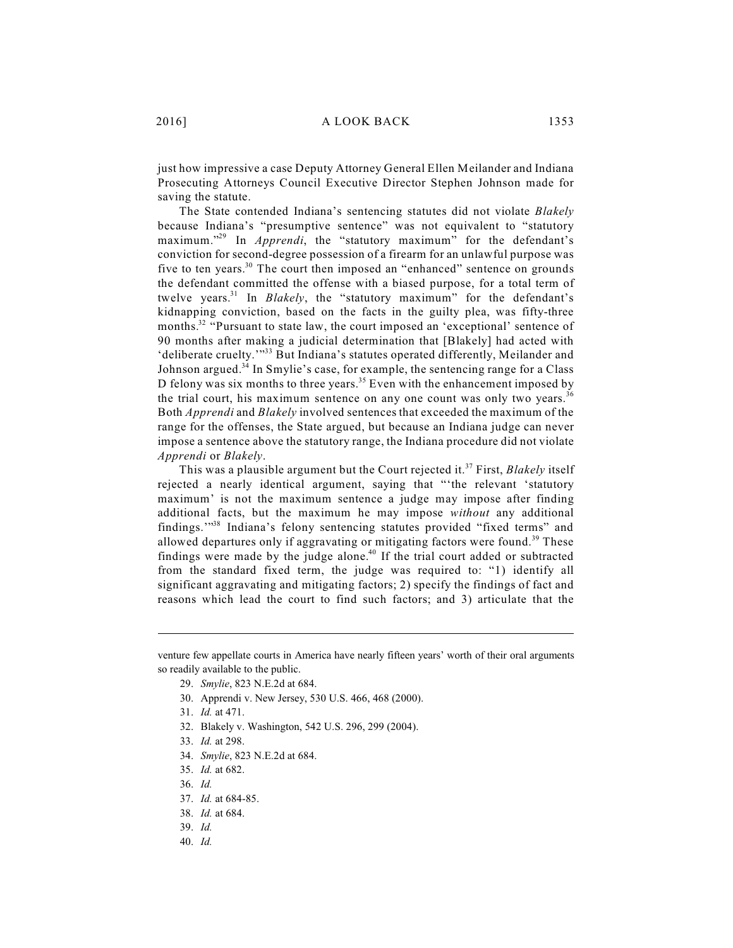just how impressive a case Deputy Attorney General Ellen Meilander and Indiana Prosecuting Attorneys Council Executive Director Stephen Johnson made for saving the statute.

The State contended Indiana's sentencing statutes did not violate *Blakely* because Indiana's "presumptive sentence" was not equivalent to "statutory maximum."<sup>29</sup> In *Apprendi*, the "statutory maximum" for the defendant's conviction for second-degree possession of a firearm for an unlawful purpose was five to ten years.<sup>30</sup> The court then imposed an "enhanced" sentence on grounds the defendant committed the offense with a biased purpose, for a total term of twelve years.<sup>31</sup> In *Blakely*, the "statutory maximum" for the defendant's kidnapping conviction, based on the facts in the guilty plea, was fifty-three months.<sup>32</sup> "Pursuant to state law, the court imposed an 'exceptional' sentence of 90 months after making a judicial determination that [Blakely] had acted with 'deliberate cruelty."<sup>33</sup> But Indiana's statutes operated differently, Meilander and Johnson argued.<sup>34</sup> In Smylie's case, for example, the sentencing range for a Class D felony was six months to three years.<sup>35</sup> Even with the enhancement imposed by the trial court, his maximum sentence on any one count was only two years.<sup>36</sup> Both *Apprendi* and *Blakely* involved sentences that exceeded the maximum of the range for the offenses, the State argued, but because an Indiana judge can never impose a sentence above the statutory range, the Indiana procedure did not violate *Apprendi* or *Blakely*.

This was a plausible argument but the Court rejected it.<sup>37</sup> First, *Blakely* itself rejected a nearly identical argument, saying that "'the relevant 'statutory maximum' is not the maximum sentence a judge may impose after finding additional facts, but the maximum he may impose *without* any additional findings."<sup>38</sup> Indiana's felony sentencing statutes provided "fixed terms" and allowed departures only if aggravating or mitigating factors were found.<sup>39</sup> These findings were made by the judge alone.<sup>40</sup> If the trial court added or subtracted from the standard fixed term, the judge was required to: "1) identify all significant aggravating and mitigating factors; 2) specify the findings of fact and reasons which lead the court to find such factors; and 3) articulate that the

- 30. Apprendi v. New Jersey, 530 U.S. 466, 468 (2000).
- 31. *Id.* at 471.
- 32. Blakely v. Washington, 542 U.S. 296, 299 (2004).
- 33. *Id.* at 298.
- 34. *Smylie*, 823 N.E.2d at 684.
- 35. *Id.* at 682.
- 36. *Id.*
- 37. *Id.* at 684-85.
- 38. *Id.* at 684.
- 39. *Id.*
- 40. *Id.*

venture few appellate courts in America have nearly fifteen years' worth of their oral arguments so readily available to the public.

<sup>29.</sup> *Smylie*, 823 N.E.2d at 684.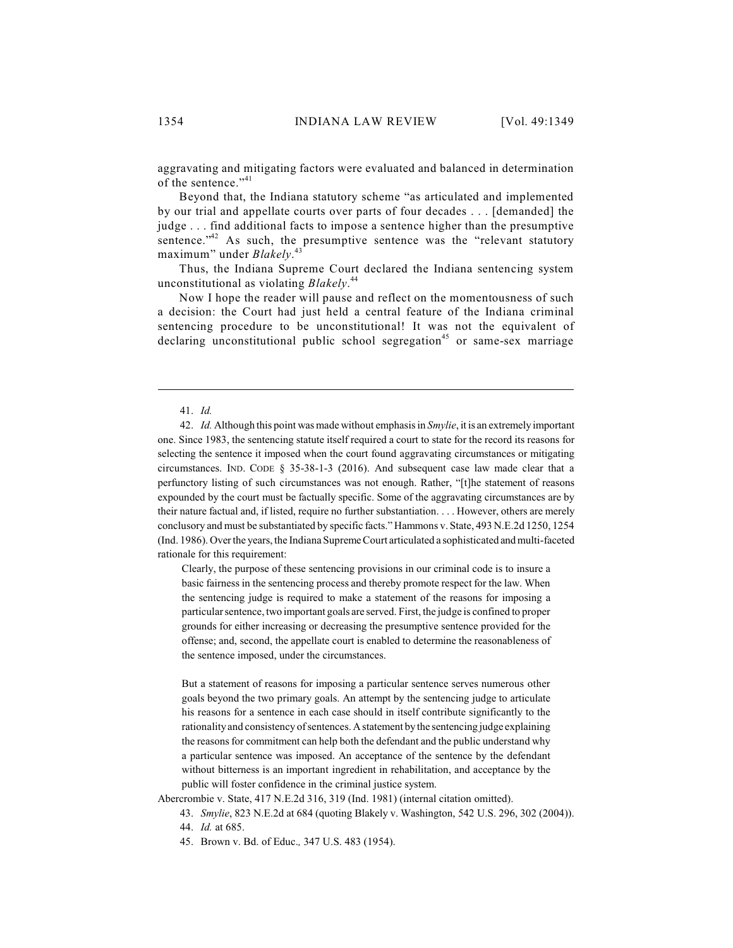aggravating and mitigating factors were evaluated and balanced in determination of the sentence."<sup>41</sup>

Beyond that, the Indiana statutory scheme "as articulated and implemented by our trial and appellate courts over parts of four decades . . . [demanded] the judge . . . find additional facts to impose a sentence higher than the presumptive sentence. $1<sup>42</sup>$  As such, the presumptive sentence was the "relevant statutory maximum" under *Blakely*. 43

Thus, the Indiana Supreme Court declared the Indiana sentencing system unconstitutional as violating *Blakely*. 44

Now I hope the reader will pause and reflect on the momentousness of such a decision: the Court had just held a central feature of the Indiana criminal sentencing procedure to be unconstitutional! It was not the equivalent of declaring unconstitutional public school segregation<sup>45</sup> or same-sex marriage

#### 41. *Id.*

42. *Id.* Although this point was made without emphasis in *Smylie*, it is an extremelyimportant one. Since 1983, the sentencing statute itself required a court to state for the record its reasons for selecting the sentence it imposed when the court found aggravating circumstances or mitigating circumstances. IND. CODE § 35-38-1-3 (2016). And subsequent case law made clear that a perfunctory listing of such circumstances was not enough. Rather, "[t]he statement of reasons expounded by the court must be factually specific. Some of the aggravating circumstances are by their nature factual and, if listed, require no further substantiation. . . . However, others are merely conclusory and must be substantiated by specific facts." Hammons v. State, 493 N.E.2d 1250, 1254 (Ind. 1986). Over the years, the Indiana Supreme Court articulated a sophisticated and multi-faceted rationale for this requirement:

Clearly, the purpose of these sentencing provisions in our criminal code is to insure a basic fairness in the sentencing process and thereby promote respect for the law. When the sentencing judge is required to make a statement of the reasons for imposing a particular sentence, two important goals are served. First, the judge is confined to proper grounds for either increasing or decreasing the presumptive sentence provided for the offense; and, second, the appellate court is enabled to determine the reasonableness of the sentence imposed, under the circumstances.

But a statement of reasons for imposing a particular sentence serves numerous other goals beyond the two primary goals. An attempt by the sentencing judge to articulate his reasons for a sentence in each case should in itself contribute significantly to the rationality and consistency of sentences. Astatement by the sentencing judge explaining the reasons for commitment can help both the defendant and the public understand why a particular sentence was imposed. An acceptance of the sentence by the defendant without bitterness is an important ingredient in rehabilitation, and acceptance by the public will foster confidence in the criminal justice system.

Abercrombie v. State, 417 N.E.2d 316, 319 (Ind. 1981) (internal citation omitted).

43. *Smylie*, 823 N.E.2d at 684 (quoting Blakely v. Washington, 542 U.S. 296, 302 (2004)).

- 44. *Id.* at 685.
- 45. Brown v. Bd. of Educ.*,* 347 U.S. 483 (1954).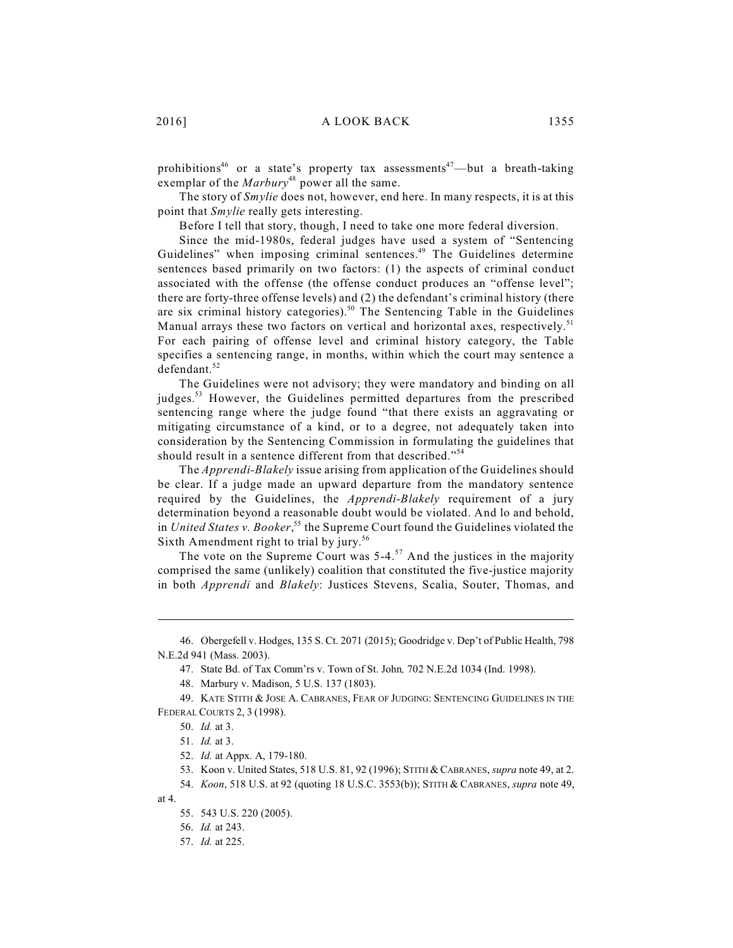prohibitions<sup>46</sup> or a state's property tax assessments<sup>47</sup>—but a breath-taking exemplar of the *Marbury*<sup>48</sup> power all the same.

The story of *Smylie* does not, however, end here. In many respects, it is at this point that *Smylie* really gets interesting.

Before I tell that story, though, I need to take one more federal diversion.

Since the mid-1980s, federal judges have used a system of "Sentencing Guidelines" when imposing criminal sentences.<sup>49</sup> The Guidelines determine sentences based primarily on two factors: (1) the aspects of criminal conduct associated with the offense (the offense conduct produces an "offense level"; there are forty-three offense levels) and (2) the defendant's criminal history (there are six criminal history categories).<sup>50</sup> The Sentencing Table in the Guidelines Manual arrays these two factors on vertical and horizontal axes, respectively.<sup>51</sup> For each pairing of offense level and criminal history category, the Table specifies a sentencing range, in months, within which the court may sentence a defendant. 52

The Guidelines were not advisory; they were mandatory and binding on all judges.<sup>53</sup> However, the Guidelines permitted departures from the prescribed sentencing range where the judge found "that there exists an aggravating or mitigating circumstance of a kind, or to a degree, not adequately taken into consideration by the Sentencing Commission in formulating the guidelines that should result in a sentence different from that described."<sup>54</sup>

The *Apprendi-Blakely* issue arising from application of the Guidelines should be clear. If a judge made an upward departure from the mandatory sentence required by the Guidelines, the *Apprendi-Blakely* requirement of a jury determination beyond a reasonable doubt would be violated. And lo and behold, in *United States v. Booker*,<sup>55</sup> the Supreme Court found the Guidelines violated the Sixth Amendment right to trial by jury.<sup>56</sup>

The vote on the Supreme Court was  $5-4$ .<sup>57</sup> And the justices in the majority comprised the same (unlikely) coalition that constituted the five-justice majority in both *Apprendi* and *Blakely*: Justices Stevens, Scalia, Souter, Thomas, and

at 4.

<sup>46.</sup> Obergefell v. Hodges, 135 S. Ct. 2071 (2015); Goodridge v. Dep't of Public Health, 798 N.E.2d 941 (Mass. 2003).

<sup>47.</sup> State Bd. of Tax Comm'rs v. Town of St. John*,* 702 N.E.2d 1034 (Ind. 1998).

<sup>48.</sup> Marbury v. Madison, 5 U.S. 137 (1803).

<sup>49.</sup> KATE STITH & JOSE A. CABRANES, FEAR OF JUDGING: SENTENCING GUIDELINES IN THE FEDERAL COURTS 2, 3 (1998).

<sup>50.</sup> *Id.* at 3.

<sup>51.</sup> *Id.* at 3.

<sup>52.</sup> *Id.* at Appx. A, 179-180.

<sup>53.</sup> Koon v. United States, 518 U.S. 81, 92 (1996); STITH &CABRANES, *supra* note 49, at 2.

<sup>54.</sup> *Koon*, 518 U.S. at 92 (quoting 18 U.S.C. 3553(b)); STITH & CABRANES, *supra* note 49,

<sup>55.</sup> 543 U.S. 220 (2005).

<sup>56.</sup> *Id.* at 243.

<sup>57.</sup> *Id.* at 225.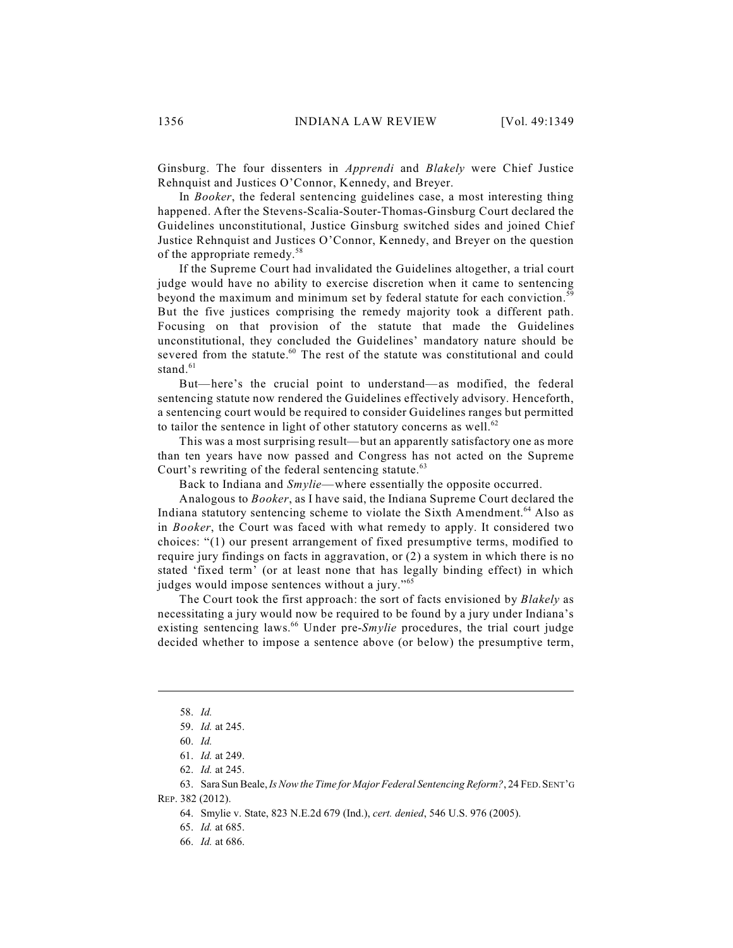Ginsburg. The four dissenters in *Apprendi* and *Blakely* were Chief Justice Rehnquist and Justices O'Connor, Kennedy, and Breyer.

In *Booker*, the federal sentencing guidelines case, a most interesting thing happened. After the Stevens-Scalia-Souter-Thomas-Ginsburg Court declared the Guidelines unconstitutional, Justice Ginsburg switched sides and joined Chief Justice Rehnquist and Justices O'Connor, Kennedy, and Breyer on the question of the appropriate remedy.<sup>58</sup>

If the Supreme Court had invalidated the Guidelines altogether, a trial court judge would have no ability to exercise discretion when it came to sentencing beyond the maximum and minimum set by federal statute for each conviction.<sup>59</sup> But the five justices comprising the remedy majority took a different path. Focusing on that provision of the statute that made the Guidelines unconstitutional, they concluded the Guidelines' mandatory nature should be severed from the statute. $60$  The rest of the statute was constitutional and could stand. 61

But—here's the crucial point to understand—as modified, the federal sentencing statute now rendered the Guidelines effectively advisory. Henceforth, a sentencing court would be required to consider Guidelines ranges but permitted to tailor the sentence in light of other statutory concerns as well. $62$ 

This was a most surprising result—but an apparently satisfactory one as more than ten years have now passed and Congress has not acted on the Supreme Court's rewriting of the federal sentencing statute.<sup>63</sup>

Back to Indiana and *Smylie*—where essentially the opposite occurred.

Analogous to *Booker*, as I have said, the Indiana Supreme Court declared the Indiana statutory sentencing scheme to violate the Sixth Amendment.<sup>64</sup> Also as in *Booker*, the Court was faced with what remedy to apply. It considered two choices: "(1) our present arrangement of fixed presumptive terms, modified to require jury findings on facts in aggravation, or (2) a system in which there is no stated 'fixed term' (or at least none that has legally binding effect) in which judges would impose sentences without a jury."<sup>65</sup>

The Court took the first approach: the sort of facts envisioned by *Blakely* as necessitating a jury would now be required to be found by a jury under Indiana's existing sentencing laws.<sup>66</sup> Under pre-Smylie procedures, the trial court judge decided whether to impose a sentence above (or below) the presumptive term,

REP. 382 (2012).

64. Smylie v. State, 823 N.E.2d 679 (Ind.), *cert. denied*, 546 U.S. 976 (2005).

66. *Id.* at 686.

<sup>58.</sup> *Id.*

<sup>59.</sup> *Id.* at 245.

<sup>60.</sup> *Id.*

<sup>61.</sup> *Id.* at 249.

<sup>62.</sup> *Id.* at 245.

<sup>63.</sup> Sara Sun Beale, *[Is Now the Time for Major Federal Sentencing](http://dx.doi.org/10.1525/fsr.2012.24.5.382) Reform?*, 24 FED.SENT'G

<sup>65.</sup> *Id.* at 685.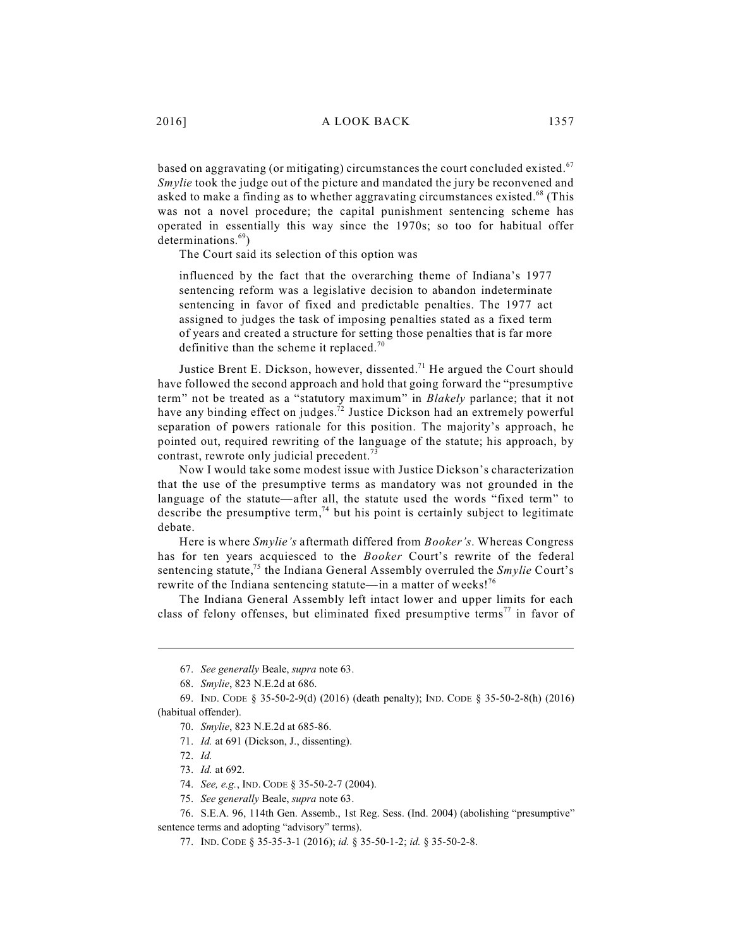based on aggravating (or mitigating) circumstances the court concluded existed.<sup>67</sup> *Smylie* took the judge out of the picture and mandated the jury be reconvened and asked to make a finding as to whether aggravating circumstances existed.<sup>68</sup> (This was not a novel procedure; the capital punishment sentencing scheme has operated in essentially this way since the 1970s; so too for habitual offer determinations.<sup>69</sup>)

The Court said its selection of this option was

influenced by the fact that the overarching theme of Indiana's 1977 sentencing reform was a legislative decision to abandon indeterminate sentencing in favor of fixed and predictable penalties. The 1977 act assigned to judges the task of imposing penalties stated as a fixed term of years and created a structure for setting those penalties that is far more definitive than the scheme it replaced.<sup>70</sup>

Justice Brent E. Dickson, however, dissented.<sup>71</sup> He argued the Court should have followed the second approach and hold that going forward the "presumptive term" not be treated as a "statutory maximum" in *Blakely* parlance; that it not have any binding effect on judges.<sup>72</sup> Justice Dickson had an extremely powerful separation of powers rationale for this position. The majority's approach, he pointed out, required rewriting of the language of the statute; his approach, by contrast, rewrote only judicial precedent.<sup>73</sup>

Now I would take some modest issue with Justice Dickson's characterization that the use of the presumptive terms as mandatory was not grounded in the language of the statute—after all, the statute used the words "fixed term" to describe the presumptive term,<sup>74</sup> but his point is certainly subject to legitimate debate.

Here is where *Smylie's* aftermath differed from *Booker's*. Whereas Congress has for ten years acquiesced to the *Booker* Court's rewrite of the federal sentencing statute,<sup>75</sup> the Indiana General Assembly overruled the *Smylie* Court's rewrite of the Indiana sentencing statute—in a matter of weeks!<sup>76</sup>

The Indiana General Assembly left intact lower and upper limits for each class of felony offenses, but eliminated fixed presumptive terms<sup>77</sup> in favor of

sentence terms and adopting "advisory" terms).

<sup>67.</sup> *See generally* Beale, *supra* note 63.

<sup>68.</sup> *Smylie*, 823 N.E.2d at 686.

<sup>69.</sup> IND. CODE § 35-50-2-9(d) (2016) (death penalty); IND. CODE § 35-50-2-8(h) (2016) (habitual offender).

<sup>70.</sup> *Smylie*, 823 N.E.2d at 685-86.

<sup>71.</sup> *Id.* at 691 (Dickson, J., dissenting).

<sup>72.</sup> *Id.*

<sup>73.</sup> *Id.* at 692.

<sup>74.</sup> *See, e.g.*, IND. CODE § 35-50-2-7 (2004).

<sup>75.</sup> *See generally* Beale, *supra* note 63.

<sup>76.</sup> S.E.A. 96, 114th Gen. Assemb., 1st Reg. Sess. (Ind. 2004) (abolishing "presumptive"

<sup>77.</sup> IND. CODE § 35-35-3-1 (2016); *id.* § 35-50-1-2; *id.* § 35-50-2-8.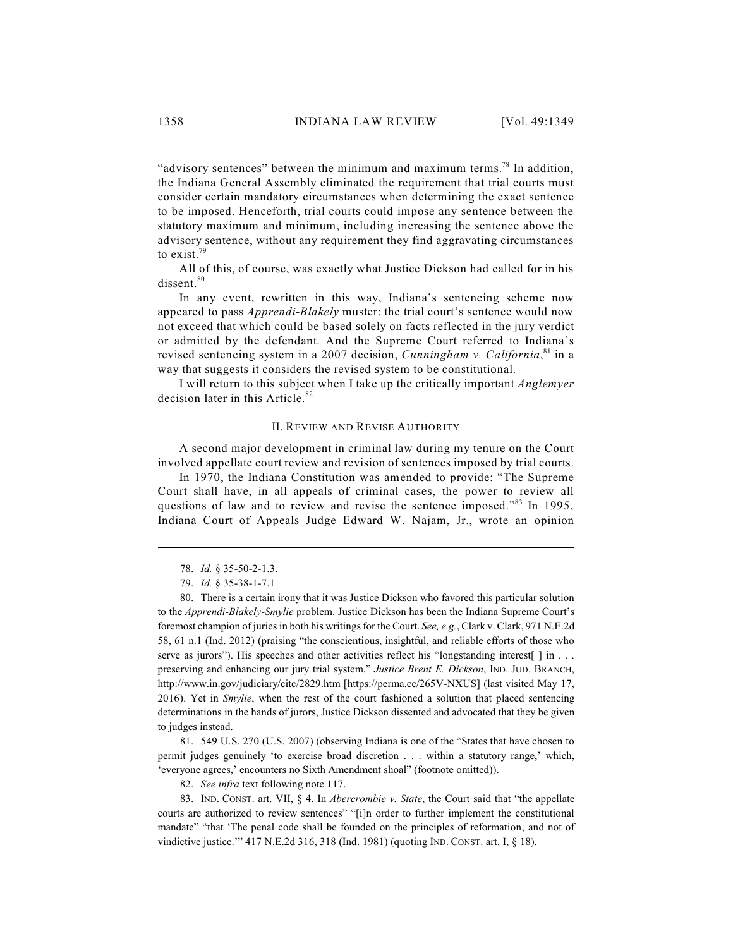"advisory sentences" between the minimum and maximum terms.<sup>78</sup> In addition, the Indiana General Assembly eliminated the requirement that trial courts must consider certain mandatory circumstances when determining the exact sentence to be imposed. Henceforth, trial courts could impose any sentence between the statutory maximum and minimum, including increasing the sentence above the advisory sentence, without any requirement they find aggravating circumstances to exist.<sup>79</sup>

All of this, of course, was exactly what Justice Dickson had called for in his dissent.<sup>80</sup>

In any event, rewritten in this way, Indiana's sentencing scheme now appeared to pass *Apprendi*-*Blakely* muster: the trial court's sentence would now not exceed that which could be based solely on facts reflected in the jury verdict or admitted by the defendant. And the Supreme Court referred to Indiana's revised sentencing system in a 2007 decision, *Cunningham v. California*,<sup>81</sup> in a way that suggests it considers the revised system to be constitutional.

I will return to this subject when I take up the critically important *Anglemyer* decision later in this Article. 82

#### II. REVIEW AND REVISE AUTHORITY

A second major development in criminal law during my tenure on the Court involved appellate court review and revision of sentences imposed by trial courts.

In 1970, the Indiana Constitution was amended to provide: "The Supreme Court shall have, in all appeals of criminal cases, the power to review all questions of law and to review and revise the sentence imposed."<sup>83</sup> In 1995, Indiana Court of Appeals Judge Edward W. Najam, Jr., wrote an opinion

81. 549 U.S. 270 (U.S. 2007) (observing Indiana is one of the "States that have chosen to permit judges genuinely 'to exercise broad discretion . . . within a statutory range,' which, 'everyone agrees,' encounters no Sixth Amendment shoal" (footnote omitted)).

82. *See infra* text following note 117.

83. IND. CONST. art. VII, § 4. In *Abercrombie v. State*, the Court said that "the appellate courts are authorized to review sentences" "[i]n order to further implement the constitutional mandate" "that 'The penal code shall be founded on the principles of reformation, and not of vindictive justice.'" 417 N.E.2d 316, 318 (Ind. 1981) (quoting IND. CONST. art. I, § 18).

<sup>78.</sup> *Id.* § 35-50-2-1.3.

<sup>79.</sup> *Id.* § 35-38-1-7.1

<sup>80.</sup> There is a certain irony that it was Justice Dickson who favored this particular solution to the *Apprendi-Blakely-Smylie* problem. Justice Dickson has been the Indiana Supreme Court's foremost champion of juries in both his writings for the Court. *See, e.g.*, Clark v. Clark, 971 N.E.2d 58, 61 n.1 (Ind. 2012) (praising "the conscientious, insightful, and reliable efforts of those who serve as jurors"). His speeches and other activities reflect his "longstanding interest[ ] in . . . preserving and enhancing our jury trial system." *Justice Brent E. Dickson*, IND. JUD. BRANCH, http://www.in.gov/judiciary/citc/2829.htm [https://perma.cc/265V-NXUS] (last visited May 17, 2016). Yet in *Smylie*, when the rest of the court fashioned a solution that placed sentencing determinations in the hands of jurors, Justice Dickson dissented and advocated that they be given to judges instead.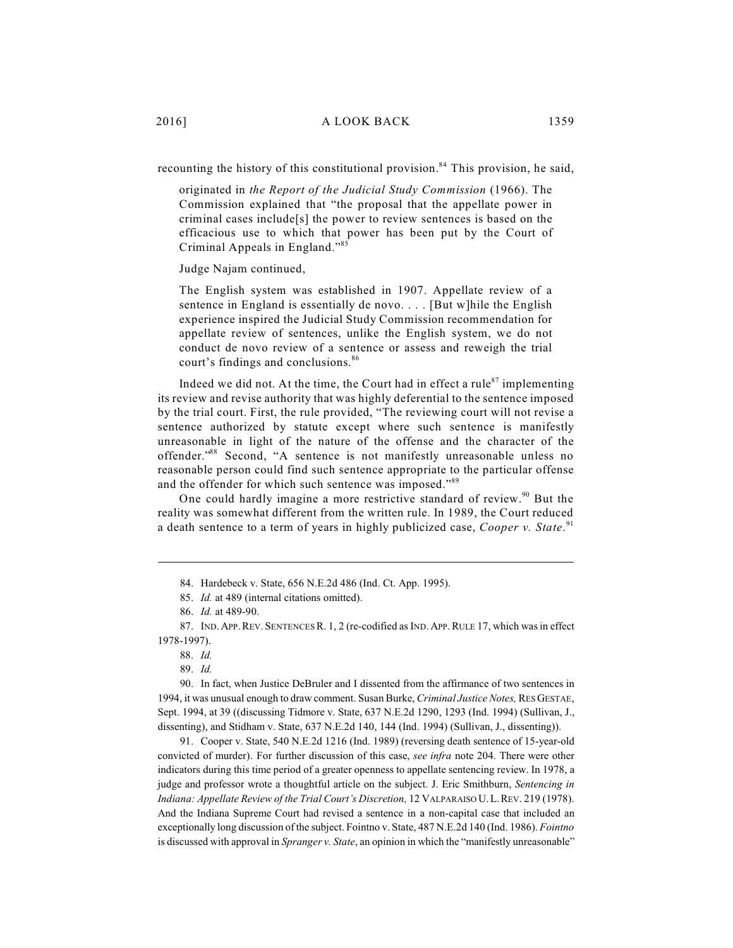recounting the history of this constitutional provision.<sup>84</sup> This provision, he said,

originated in *the Report of the Judicial Study Commission* (1966). The Commission explained that "the proposal that the appellate power in criminal cases include[s] the power to review sentences is based on the efficacious use to which that power has been put by the Court of Criminal Appeals in England." 85

Judge Najam continued,

The English system was established in 1907. Appellate review of a sentence in England is essentially de novo. . . . [But w]hile the English experience inspired the Judicial Study Commission recommendation for appellate review of sentences, unlike the English system, we do not conduct de novo review of a sentence or assess and reweigh the trial court's findings and conclusions. 86

Indeed we did not. At the time, the Court had in effect a rule<sup>87</sup> implementing its review and revise authority that was highly deferential to the sentence imposed by the trial court. First, the rule provided, "The reviewing court will not revise a sentence authorized by statute except where such sentence is manifestly unreasonable in light of the nature of the offense and the character of the offender."<sup>88</sup> Second, "A sentence is not manifestly unreasonable unless no reasonable person could find such sentence appropriate to the particular offense and the offender for which such sentence was imposed."<sup>89</sup>

One could hardly imagine a more restrictive standard of review.<sup>90</sup> But the reality was somewhat different from the written rule. In 1989, the Court reduced a death sentence to a term of years in highly publicized case, *Cooper v. State*. 91

91. Cooper v. State, 540 N.E.2d 1216 (Ind. 1989) (reversing death sentence of 15-year-old convicted of murder). For further discussion of this case, *see infra* note 204. There were other indicators during this time period of a greater openness to appellate sentencing review. In 1978, a judge and professor wrote a thoughtful article on the subject. J. Eric Smithburn, *Sentencing in Indiana: Appellate Review of the Trial Court's Discretion,* 12 VALPARAISO U.L.REV. 219 (1978). And the Indiana Supreme Court had revised a sentence in a non-capital case that included an exceptionally long discussion of the subject. Fointno v. State, 487 N.E.2d 140 (Ind. 1986). *Fointno* is discussed with approval in *Spranger v. State*, an opinion in which the "manifestly unreasonable"

<sup>84.</sup> Hardebeck v. State, 656 N.E.2d 486 (Ind. Ct. App. 1995).

<sup>85.</sup> *Id.* at 489 (internal citations omitted).

<sup>86.</sup> *Id.* at 489-90.

<sup>87.</sup> IND.APP.REV.SENTENCES R. 1, 2 (re-codified as IND.APP.RULE 17, which was in effect 1978-1997).

<sup>88.</sup> *Id.*

<sup>89.</sup> *Id.*

<sup>90.</sup> In fact, when Justice DeBruler and I dissented from the affirmance of two sentences in 1994, it was unusual enough to draw comment. Susan Burke, *Criminal Justice Notes,* RES GESTAE, Sept. 1994, at 39 ((discussing Tidmore v. State, 637 N.E.2d 1290, 1293 (Ind. 1994) (Sullivan, J., dissenting), and Stidham v. State, 637 N.E.2d 140, 144 (Ind. 1994) (Sullivan, J., dissenting)).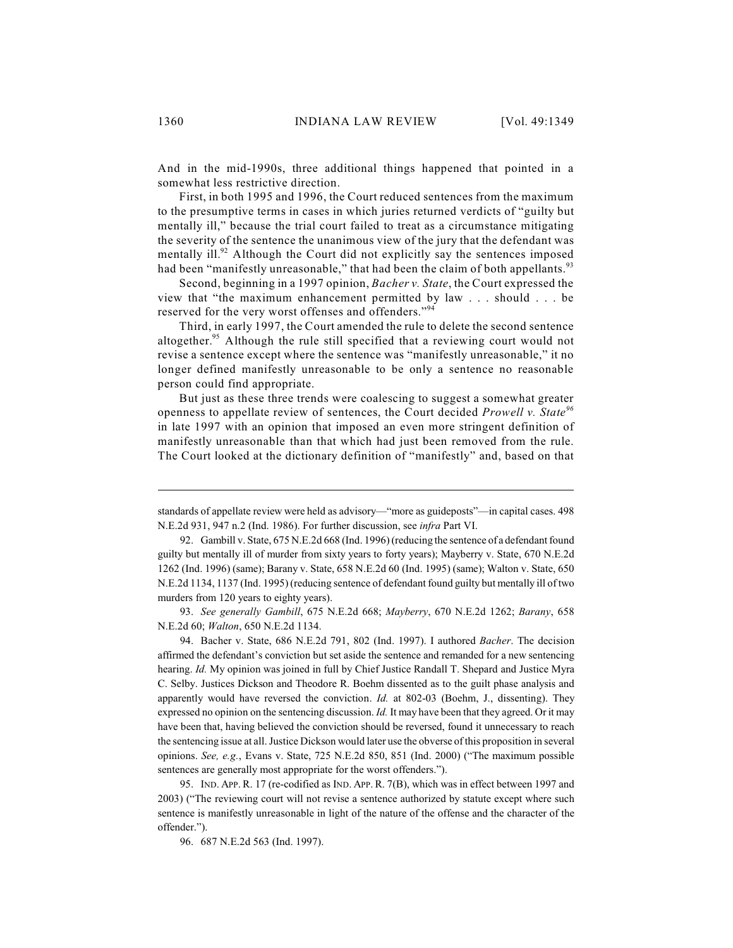And in the mid-1990s, three additional things happened that pointed in a somewhat less restrictive direction.

First, in both 1995 and 1996, the Court reduced sentences from the maximum to the presumptive terms in cases in which juries returned verdicts of "guilty but mentally ill," because the trial court failed to treat as a circumstance mitigating the severity of the sentence the unanimous view of the jury that the defendant was mentally ill. $92$  Although the Court did not explicitly say the sentences imposed had been "manifestly unreasonable," that had been the claim of both appellants.<sup>93</sup>

Second, beginning in a 1997 opinion, *Bacher v. State*, the Court expressed the view that "the maximum enhancement permitted by law . . . should . . . be reserved for the very worst offenses and offenders."<sup>94</sup>

Third, in early 1997, the Court amended the rule to delete the second sentence altogether.<sup>95</sup> Although the rule still specified that a reviewing court would not revise a sentence except where the sentence was "manifestly unreasonable," it no longer defined manifestly unreasonable to be only a sentence no reasonable person could find appropriate.

But just as these three trends were coalescing to suggest a somewhat greater openness to appellate review of sentences, the Court decided *Prowell v. State 96* in late 1997 with an opinion that imposed an even more stringent definition of manifestly unreasonable than that which had just been removed from the rule. The Court looked at the dictionary definition of "manifestly" and, based on that

93. *See generally Gambill*, 675 N.E.2d 668; *Mayberry*, 670 N.E.2d 1262; *Barany*, 658 N.E.2d 60; *Walton*, 650 N.E.2d 1134.

94. Bacher v. State, 686 N.E.2d 791, 802 (Ind. 1997). I authored *Bacher*. The decision affirmed the defendant's conviction but set aside the sentence and remanded for a new sentencing hearing. *Id.* My opinion was joined in full by Chief Justice Randall T. Shepard and Justice Myra C. Selby. Justices Dickson and Theodore R. Boehm dissented as to the guilt phase analysis and apparently would have reversed the conviction. *Id.* at 802-03 (Boehm, J., dissenting). They expressed no opinion on the sentencing discussion. *Id.* It may have been that they agreed. Or it may have been that, having believed the conviction should be reversed, found it unnecessary to reach the sentencing issue at all. Justice Dickson would later use the obverse of this proposition in several opinions. *See, e.g.*, Evans v. State, 725 N.E.2d 850, 851 (Ind. 2000) ("The maximum possible sentences are generally most appropriate for the worst offenders.").

95. IND. APP. R. 17 (re-codified as IND. APP.R. 7(B), which was in effect between 1997 and 2003) ("The reviewing court will not revise a sentence authorized by statute except where such sentence is manifestly unreasonable in light of the nature of the offense and the character of the offender.").

96. 687 N.E.2d 563 (Ind. 1997).

standards of appellate review were held as advisory—"more as guideposts"—in capital cases. 498 N.E.2d 931, 947 n.2 (Ind. 1986). For further discussion, see *infra* Part VI.

<sup>92.</sup> Gambill v. State, 675 N.E.2d 668 (Ind. 1996) (reducing the sentence of a defendant found guilty but mentally ill of murder from sixty years to forty years); Mayberry v. State, 670 N.E.2d 1262 (Ind. 1996) (same); Barany v. State, 658 N.E.2d 60 (Ind. 1995) (same); Walton v. State, 650 N.E.2d 1134, 1137 (Ind. 1995) (reducing sentence of defendant found guilty but mentally ill of two murders from 120 years to eighty years).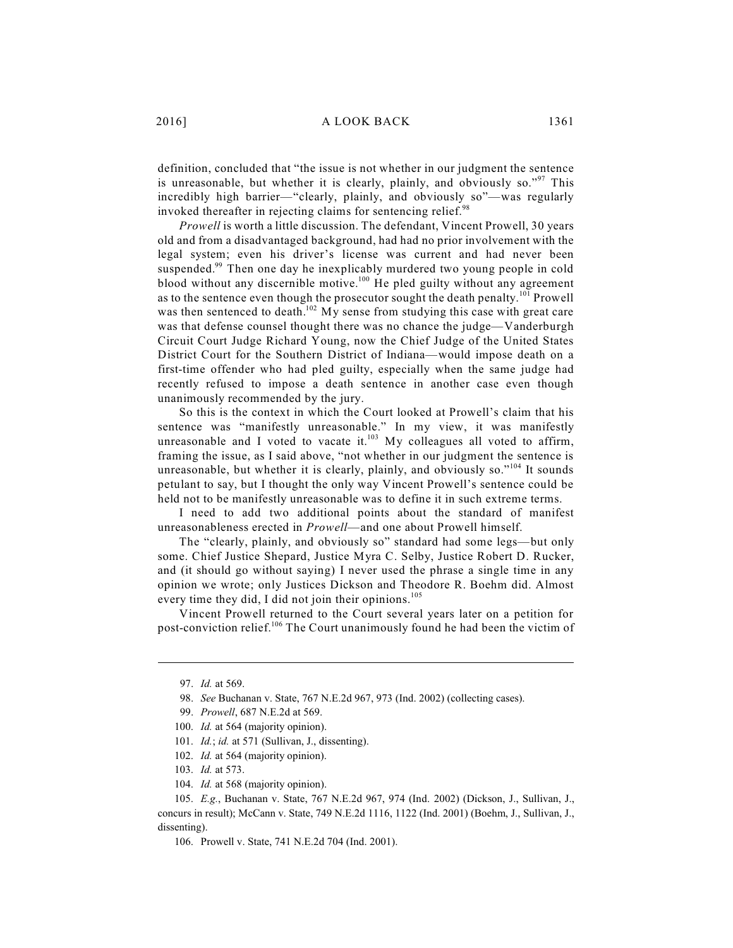definition, concluded that "the issue is not whether in our judgment the sentence is unreasonable, but whether it is clearly, plainly, and obviously so."<sup>97</sup> This incredibly high barrier—"clearly, plainly, and obviously so"—was regularly invoked thereafter in rejecting claims for sentencing relief.<sup>98</sup>

*Prowell* is worth a little discussion. The defendant, Vincent Prowell, 30 years old and from a disadvantaged background, had had no prior involvement with the legal system; even his driver's license was current and had never been suspended.<sup>99</sup> Then one day he inexplicably murdered two young people in cold blood without any discernible motive.<sup>100</sup> He pled guilty without any agreement as to the sentence even though the prosecutor sought the death penalty.<sup>101</sup> Prowell was then sentenced to death.<sup>102</sup> My sense from studying this case with great care was that defense counsel thought there was no chance the judge—Vanderburgh Circuit Court Judge Richard Young, now the Chief Judge of the United States District Court for the Southern District of Indiana—would impose death on a first-time offender who had pled guilty, especially when the same judge had recently refused to impose a death sentence in another case even though unanimously recommended by the jury.

So this is the context in which the Court looked at Prowell's claim that his sentence was "manifestly unreasonable." In my view, it was manifestly unreasonable and I voted to vacate it.<sup>103</sup> My colleagues all voted to affirm, framing the issue, as I said above, "not whether in our judgment the sentence is unreasonable, but whether it is clearly, plainly, and obviously so."<sup>104</sup> It sounds petulant to say, but I thought the only way Vincent Prowell's sentence could be held not to be manifestly unreasonable was to define it in such extreme terms.

I need to add two additional points about the standard of manifest unreasonableness erected in *Prowell*—and one about Prowell himself.

The "clearly, plainly, and obviously so" standard had some legs—but only some. Chief Justice Shepard, Justice Myra C. Selby, Justice Robert D. Rucker, and (it should go without saying) I never used the phrase a single time in any opinion we wrote; only Justices Dickson and Theodore R. Boehm did. Almost every time they did, I did not join their opinions.<sup>105</sup>

Vincent Prowell returned to the Court several years later on a petition for post-conviction relief.<sup>106</sup> The Court unanimously found he had been the victim of

<sup>97.</sup> *Id.* at 569.

<sup>98.</sup> *See* Buchanan v. State, 767 N.E.2d 967, 973 (Ind. 2002) (collecting cases).

<sup>99.</sup> *Prowell*, 687 N.E.2d at 569.

<sup>100.</sup> *Id.* at 564 (majority opinion).

<sup>101.</sup> *Id.*; *id.* at 571 (Sullivan, J., dissenting).

<sup>102.</sup> *Id.* at 564 (majority opinion).

<sup>103.</sup> *Id.* at 573.

<sup>104.</sup> *Id.* at 568 (majority opinion).

<sup>105.</sup> *E.g.*, Buchanan v. State, 767 N.E.2d 967, 974 (Ind. 2002) (Dickson, J., Sullivan, J., concurs in result); McCann v. State, 749 N.E.2d 1116, 1122 (Ind. 2001) (Boehm, J., Sullivan, J., dissenting).

<sup>106.</sup> Prowell v. State, 741 N.E.2d 704 (Ind. 2001).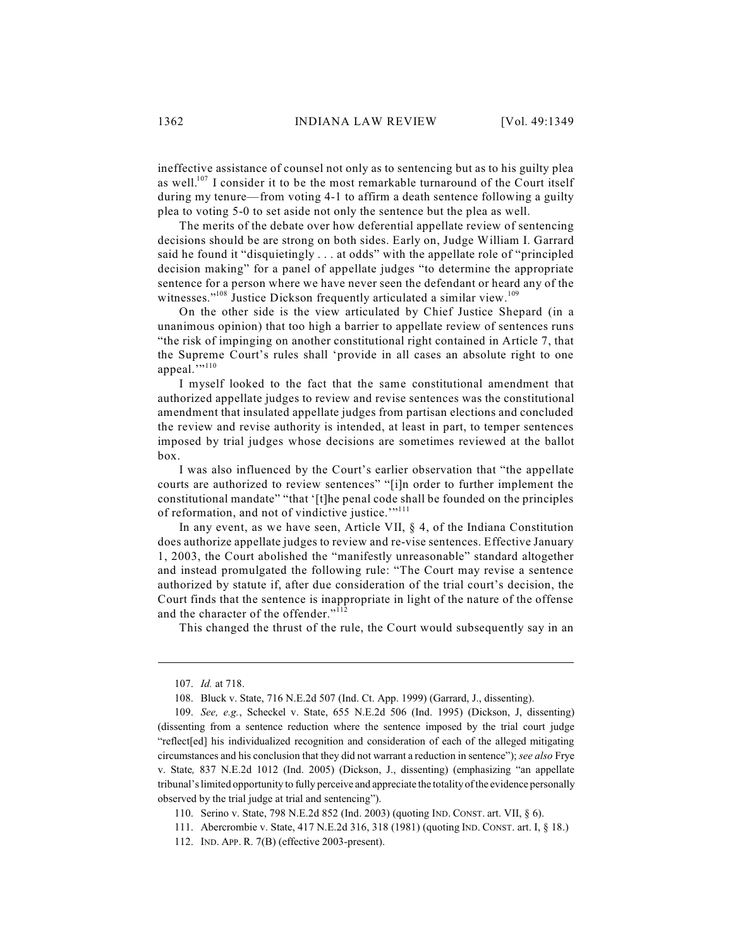ineffective assistance of counsel not only as to sentencing but as to his guilty plea as well.<sup>107</sup> I consider it to be the most remarkable turnaround of the Court itself during my tenure—from voting 4-1 to affirm a death sentence following a guilty plea to voting 5-0 to set aside not only the sentence but the plea as well.

The merits of the debate over how deferential appellate review of sentencing decisions should be are strong on both sides. Early on, Judge William I. Garrard said he found it "disquietingly . . . at odds" with the appellate role of "principled decision making" for a panel of appellate judges "to determine the appropriate sentence for a person where we have never seen the defendant or heard any of the witnesses."<sup>108</sup> Justice Dickson frequently articulated a similar view.<sup>109</sup>

On the other side is the view articulated by Chief Justice Shepard (in a unanimous opinion) that too high a barrier to appellate review of sentences runs "the risk of impinging on another constitutional right contained in Article 7, that the Supreme Court's rules shall 'provide in all cases an absolute right to one appeal.""<sup>110</sup>

I myself looked to the fact that the same constitutional amendment that authorized appellate judges to review and revise sentences was the constitutional amendment that insulated appellate judges from partisan elections and concluded the review and revise authority is intended, at least in part, to temper sentences imposed by trial judges whose decisions are sometimes reviewed at the ballot box.

I was also influenced by the Court's earlier observation that "the appellate courts are authorized to review sentences" "[i]n order to further implement the constitutional mandate" "that '[t]he penal code shall be founded on the principles of reformation, and not of vindictive justice."<sup>111</sup>

In any event, as we have seen, Article VII, § 4, of the Indiana Constitution does authorize appellate judges to review and re-vise sentences. Effective January 1, 2003, the Court abolished the "manifestly unreasonable" standard altogether and instead promulgated the following rule: "The Court may revise a sentence authorized by statute if, after due consideration of the trial court's decision, the Court finds that the sentence is inappropriate in light of the nature of the offense and the character of the offender."<sup>112</sup>

This changed the thrust of the rule, the Court would subsequently say in an

<sup>107.</sup> *Id.* at 718.

<sup>108.</sup> Bluck v. State, 716 N.E.2d 507 (Ind. Ct. App. 1999) (Garrard, J., dissenting).

<sup>109.</sup> *See, e.g.*, Scheckel v. State, 655 N.E.2d 506 (Ind. 1995) (Dickson, J, dissenting) (dissenting from a sentence reduction where the sentence imposed by the trial court judge "reflect[ed] his individualized recognition and consideration of each of the alleged mitigating circumstances and his conclusion that they did not warrant a reduction in sentence"); *see also* Frye v. State*,* 837 N.E.2d 1012 (Ind. 2005) (Dickson, J., dissenting) (emphasizing "an appellate tribunal's limited opportunity to fully perceive and appreciate the totality of the evidence personally observed by the trial judge at trial and sentencing").

<sup>110.</sup> Serino v. State, 798 N.E.2d 852 (Ind. 2003) (quoting IND. CONST. art. VII, § 6).

<sup>111.</sup> Abercrombie v. State, 417 N.E.2d 316, 318 (1981) (quoting IND. CONST. art. I, § 18.)

<sup>112.</sup> IND. APP. R. 7(B) (effective 2003-present).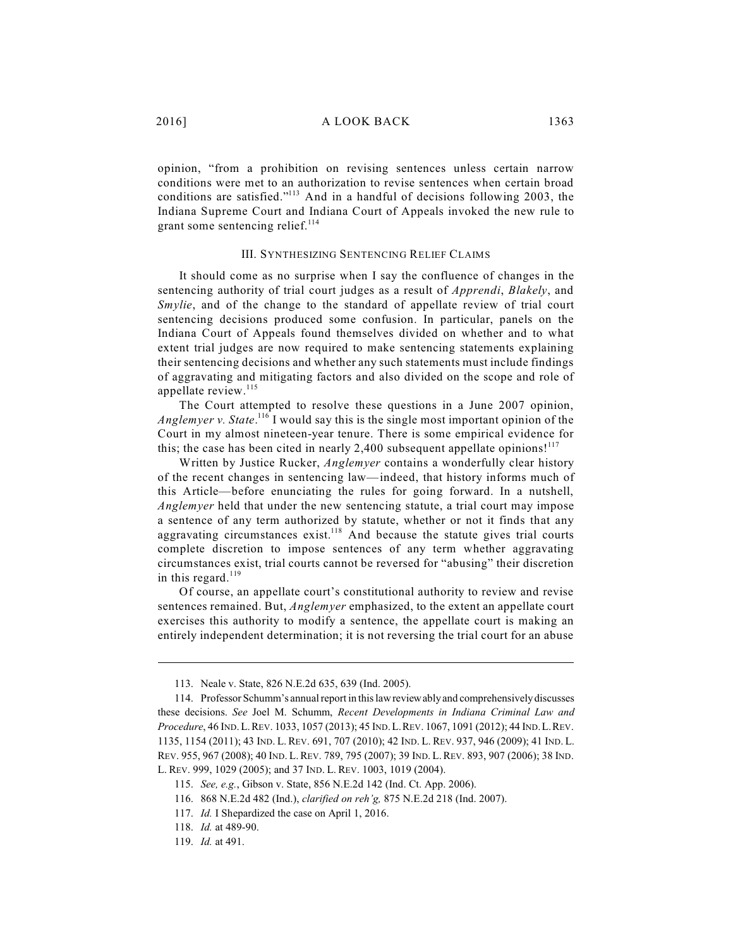opinion, "from a prohibition on revising sentences unless certain narrow conditions were met to an authorization to revise sentences when certain broad conditions are satisfied." $113$  And in a handful of decisions following 2003, the Indiana Supreme Court and Indiana Court of Appeals invoked the new rule to grant some sentencing relief.<sup>114</sup>

#### III. SYNTHESIZING SENTENCING RELIEF CLAIMS

It should come as no surprise when I say the confluence of changes in the sentencing authority of trial court judges as a result of *Apprendi*, *Blakely*, and *Smylie*, and of the change to the standard of appellate review of trial court sentencing decisions produced some confusion. In particular, panels on the Indiana Court of Appeals found themselves divided on whether and to what extent trial judges are now required to make sentencing statements explaining their sentencing decisions and whether any such statements must include findings of aggravating and mitigating factors and also divided on the scope and role of appellate review. 115

The Court attempted to resolve these questions in a June 2007 opinion, Anglemyer v. State.<sup>116</sup> I would say this is the single most important opinion of the Court in my almost nineteen-year tenure. There is some empirical evidence for this; the case has been cited in nearly 2,400 subsequent appellate opinions!<sup>117</sup>

Written by Justice Rucker, *Anglemyer* contains a wonderfully clear history of the recent changes in sentencing law—indeed, that history informs much of this Article—before enunciating the rules for going forward. In a nutshell, *Anglemyer* held that under the new sentencing statute, a trial court may impose a sentence of any term authorized by statute, whether or not it finds that any aggravating circumstances exist.<sup>118</sup> And because the statute gives trial courts complete discretion to impose sentences of any term whether aggravating circumstances exist, trial courts cannot be reversed for "abusing" their discretion in this regard.<sup>119</sup>

Of course, an appellate court's constitutional authority to review and revise sentences remained. But, *Anglemyer* emphasized, to the extent an appellate court exercises this authority to modify a sentence, the appellate court is making an entirely independent determination; it is not reversing the trial court for an abuse

<sup>113.</sup> Neale v. State, 826 N.E.2d 635, 639 (Ind. 2005).

<sup>114.</sup> Professor Schumm's annual report in this lawreviewablyand comprehensivelydiscusses these decisions. *See* Joel M. Schumm, *Recent Developments in Indiana Criminal Law and Procedure*, 46 IND.L.REV. 1033, 1057 (2013); 45 IND.L.REV. 1067, 1091 (2012); 44 IND.L.REV. 1135, 1154 (2011); 43 IND. L.REV. 691, 707 (2010); 42 IND. L. REV. 937, 946 (2009); 41 IND. L. REV. 955, 967 (2008); 40 IND. L.REV. 789, 795 (2007); 39 IND. L.REV. 893, 907 (2006); 38 IND. L. REV. 999, 1029 (2005); and 37 IND. L. REV. 1003, 1019 (2004).

<sup>115.</sup> *See, e.g.*, Gibson v. State, 856 N.E.2d 142 (Ind. Ct. App. 2006).

<sup>116.</sup> 868 N.E.2d 482 (Ind.), *clarified on reh'g,* 875 N.E.2d 218 (Ind. 2007).

<sup>117.</sup> *Id.* I Shepardized the case on April 1, 2016.

<sup>118.</sup> *Id.* at 489-90.

<sup>119.</sup> *Id.* at 491.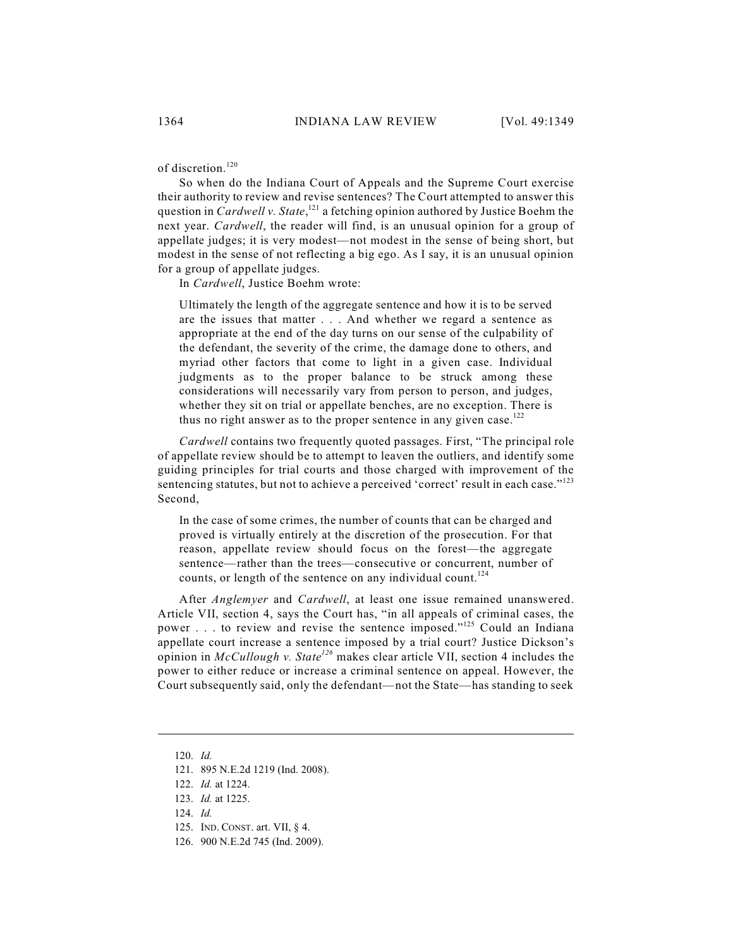of discretion. 120

So when do the Indiana Court of Appeals and the Supreme Court exercise their authority to review and revise sentences? The Court attempted to answer this question in *Cardwell v. State*,<sup>121</sup> a fetching opinion authored by Justice Boehm the next year. *Cardwell*, the reader will find, is an unusual opinion for a group of appellate judges; it is very modest—not modest in the sense of being short, but modest in the sense of not reflecting a big ego. As I say, it is an unusual opinion for a group of appellate judges.

In *Cardwell*, Justice Boehm wrote:

Ultimately the length of the aggregate sentence and how it is to be served are the issues that matter . . . And whether we regard a sentence as appropriate at the end of the day turns on our sense of the culpability of the defendant, the severity of the crime, the damage done to others, and myriad other factors that come to light in a given case. Individual judgments as to the proper balance to be struck among these considerations will necessarily vary from person to person, and judges, whether they sit on trial or appellate benches, are no exception. There is thus no right answer as to the proper sentence in any given case. $^{122}$ 

*Cardwell* contains two frequently quoted passages. First, "The principal role of appellate review should be to attempt to leaven the outliers, and identify some guiding principles for trial courts and those charged with improvement of the sentencing statutes, but not to achieve a perceived 'correct' result in each case."<sup>123</sup> Second,

In the case of some crimes, the number of counts that can be charged and proved is virtually entirely at the discretion of the prosecution. For that reason, appellate review should focus on the forest—the aggregate sentence—rather than the trees—consecutive or concurrent, number of counts, or length of the sentence on any individual count.<sup>124</sup>

After *Anglemyer* and *Cardwell*, at least one issue remained unanswered. Article VII, section 4, says the Court has, "in all appeals of criminal cases, the power . . . to review and revise the sentence imposed."<sup>125</sup> Could an Indiana appellate court increase a sentence imposed by a trial court? Justice Dickson's opinion in *McCullough v. State<sup>126</sup>* makes clear article VII, section 4 includes the power to either reduce or increase a criminal sentence on appeal. However, the Court subsequently said, only the defendant—not the State—has standing to seek

<sup>120.</sup> *Id.*

<sup>121.</sup> 895 N.E.2d 1219 (Ind. 2008).

<sup>122.</sup> *Id.* at 1224.

<sup>123.</sup> *Id.* at 1225.

<sup>124.</sup> *Id.*

<sup>125.</sup> IND. CONST. art. VII, § 4.

<sup>126.</sup> 900 N.E.2d 745 (Ind. 2009).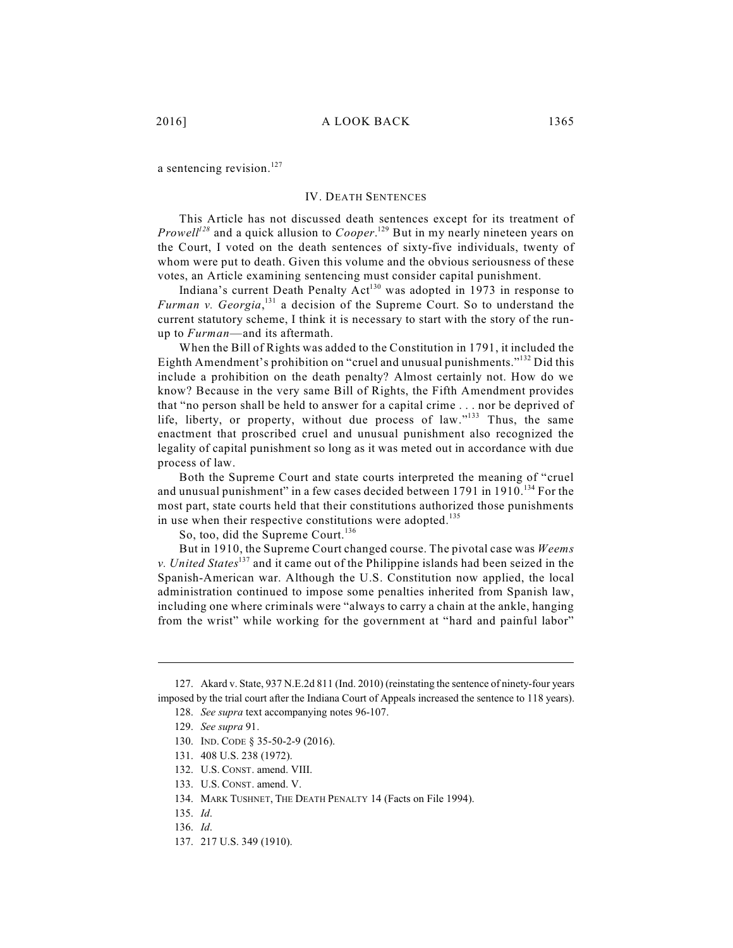a sentencing revision.<sup>127</sup>

#### IV. DEATH SENTENCES

This Article has not discussed death sentences except for its treatment of *Prowell<sup>128</sup>* and a quick allusion to *Cooper*.<sup>129</sup> But in my nearly nineteen years on the Court, I voted on the death sentences of sixty-five individuals, twenty of whom were put to death. Given this volume and the obvious seriousness of these votes, an Article examining sentencing must consider capital punishment.

Indiana's current Death Penalty  $Act^{130}$  was adopted in 1973 in response to *Furman v. Georgia*<sup>131</sup> a decision of the Supreme Court. So to understand the current statutory scheme, I think it is necessary to start with the story of the runup to *Furman*—and its aftermath.

When the Bill of Rights was added to the Constitution in 1791, it included the Eighth Amendment's prohibition on "cruel and unusual punishments."<sup>132</sup> Did this include a prohibition on the death penalty? Almost certainly not. How do we know? Because in the very same Bill of Rights, the Fifth Amendment provides that "no person shall be held to answer for a capital crime . . . nor be deprived of life, liberty, or property, without due process of law." $133$  Thus, the same enactment that proscribed cruel and unusual punishment also recognized the legality of capital punishment so long as it was meted out in accordance with due process of law.

Both the Supreme Court and state courts interpreted the meaning of "cruel and unusual punishment" in a few cases decided between 1791 in 1910. $^{134}$  For the most part, state courts held that their constitutions authorized those punishments in use when their respective constitutions were adopted.<sup>135</sup>

So, too, did the Supreme Court. 136

But in 1910, the Supreme Court changed course. The pivotal case was *Weems v. United States*<sup>137</sup> and it came out of the Philippine islands had been seized in the Spanish-American war. Although the U.S. Constitution now applied, the local administration continued to impose some penalties inherited from Spanish law, including one where criminals were "always to carry a chain at the ankle, hanging from the wrist" while working for the government at "hard and painful labor"

<sup>127.</sup> Akard v. State, 937 N.E.2d 811 (Ind. 2010) (reinstating the sentence of ninety-four years imposed by the trial court after the Indiana Court of Appeals increased the sentence to 118 years).

<sup>128.</sup> *See supra* text accompanying notes 96-107.

<sup>129.</sup> *See supra* 91.

<sup>130.</sup> IND. CODE § 35-50-2-9 (2016).

<sup>131.</sup> 408 U.S. 238 (1972).

<sup>132.</sup> U.S. CONST. amend. VIII.

<sup>133.</sup> U.S. CONST. amend. V.

<sup>134.</sup> MARK TUSHNET, THE DEATH PENALTY 14 (Facts on File 1994).

<sup>135.</sup> *Id*.

<sup>136.</sup> *Id*.

<sup>137.</sup> 217 U.S. 349 (1910).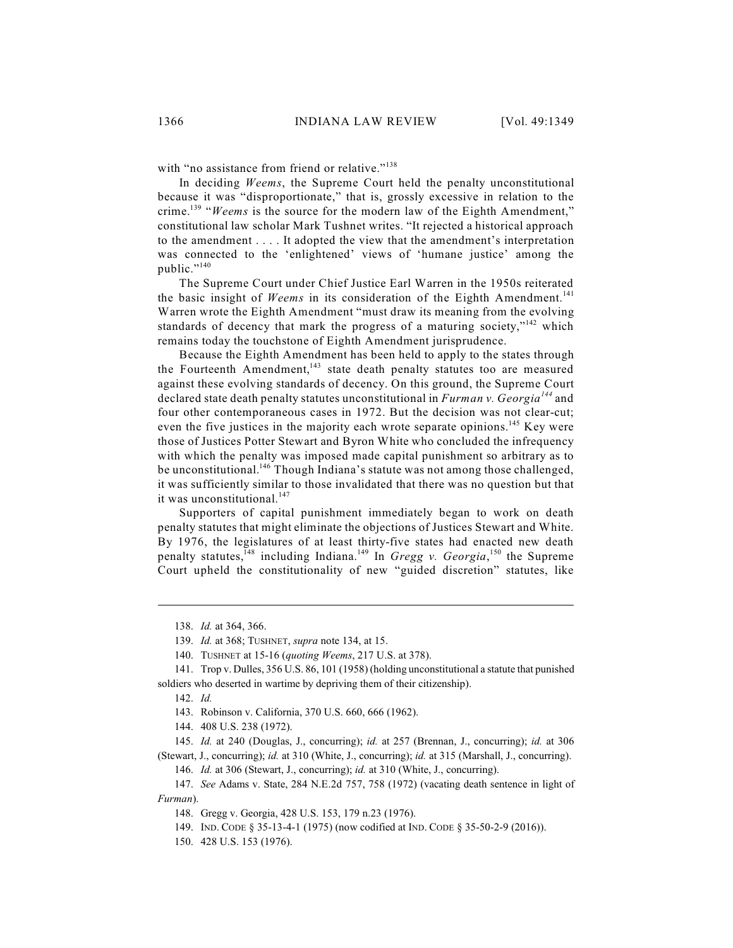with "no assistance from friend or relative."<sup>138</sup>

In deciding *Weems*, the Supreme Court held the penalty unconstitutional because it was "disproportionate," that is, grossly excessive in relation to the crime.<sup>139</sup> "Weems is the source for the modern law of the Eighth Amendment," constitutional law scholar Mark Tushnet writes. "It rejected a historical approach to the amendment . . . . It adopted the view that the amendment's interpretation was connected to the 'enlightened' views of 'humane justice' among the public."<sup>140</sup>

The Supreme Court under Chief Justice Earl Warren in the 1950s reiterated the basic insight of *Weems* in its consideration of the Eighth Amendment. 141 Warren wrote the Eighth Amendment "must draw its meaning from the evolving standards of decency that mark the progress of a maturing society," $142$  which remains today the touchstone of Eighth Amendment jurisprudence.

Because the Eighth Amendment has been held to apply to the states through the Fourteenth Amendment,<sup>143</sup> state death penalty statutes too are measured against these evolving standards of decency. On this ground, the Supreme Court declared state death penalty statutes unconstitutional in *Furman v. Georgia*<sup>144</sup> and four other contemporaneous cases in 1972. But the decision was not clear-cut; even the five justices in the majority each wrote separate opinions.<sup>145</sup> Key were those of Justices Potter Stewart and Byron White who concluded the infrequency with which the penalty was imposed made capital punishment so arbitrary as to be unconstitutional.<sup>146</sup> Though Indiana's statute was not among those challenged, it was sufficiently similar to those invalidated that there was no question but that it was unconstitutional.<sup>147</sup>

Supporters of capital punishment immediately began to work on death penalty statutes that might eliminate the objections of Justices Stewart and White. By 1976, the legislatures of at least thirty-five states had enacted new death penalty statutes, <sup>148</sup> including Indiana.<sup>149</sup> In *Gregg v. Georgia*, <sup>150</sup> the Supreme Court upheld the constitutionality of new "guided discretion" statutes, like

145. *Id.* at 240 (Douglas, J., concurring); *id.* at 257 (Brennan, J., concurring); *id.* at 306 (Stewart, J., concurring); *id.* at 310 (White, J., concurring); *id.* at 315 (Marshall, J., concurring).

146. *Id.* at 306 (Stewart, J., concurring); *id.* at 310 (White, J., concurring).

147. *See* Adams v. State, 284 N.E.2d 757, 758 (1972) (vacating death sentence in light of *Furman*).

<sup>138.</sup> *Id.* at 364, 366.

<sup>139.</sup> *Id.* at 368; TUSHNET, *supra* note 134, at 15.

<sup>140.</sup> TUSHNET at 15-16 (*quoting Weems*, 217 U.S. at 378).

<sup>141.</sup> Trop v. Dulles, 356 U.S. 86, 101 (1958) (holding unconstitutional a statute that punished soldiers who deserted in wartime by depriving them of their citizenship).

<sup>142.</sup> *Id.*

<sup>143.</sup> Robinson v. California, 370 U.S. 660, 666 (1962).

<sup>144.</sup> 408 U.S. 238 (1972).

<sup>148.</sup> Gregg v. Georgia, 428 U.S. 153, 179 n.23 (1976).

<sup>149.</sup> IND. CODE § 35-13-4-1 (1975) (now codified at IND. CODE § 35-50-2-9 (2016)).

<sup>150.</sup> 428 U.S. 153 (1976).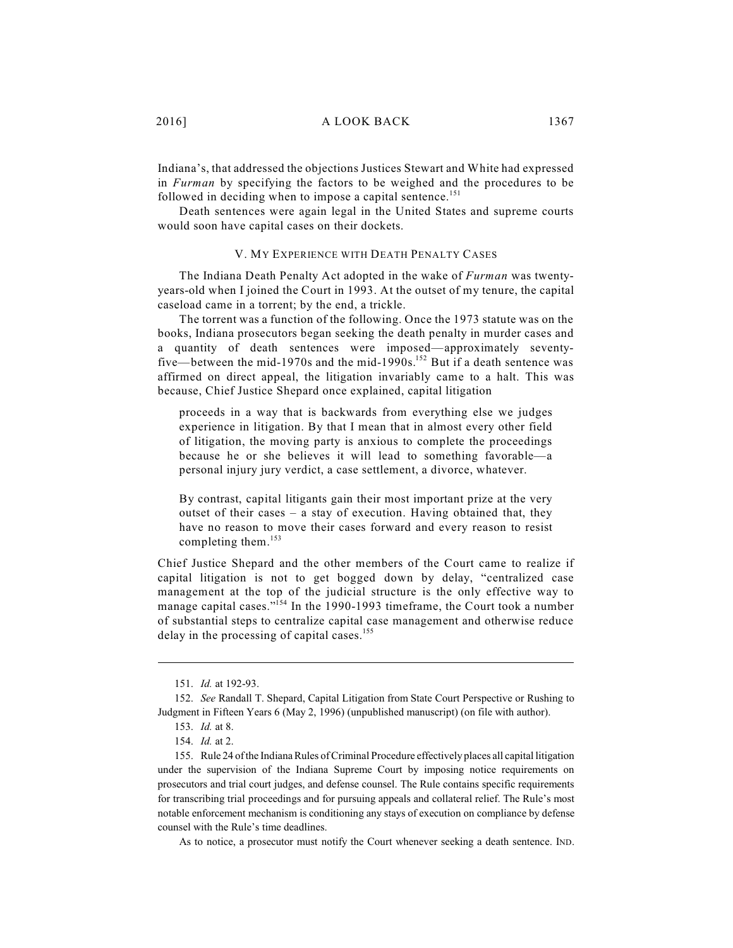Indiana's, that addressed the objections Justices Stewart and White had expressed in *Furman* by specifying the factors to be weighed and the procedures to be followed in deciding when to impose a capital sentence.<sup>151</sup>

Death sentences were again legal in the United States and supreme courts would soon have capital cases on their dockets.

#### V. MY EXPERIENCE WITH DEATH PENALTY CASES

The Indiana Death Penalty Act adopted in the wake of *Furman* was twentyyears-old when I joined the Court in 1993. At the outset of my tenure, the capital caseload came in a torrent; by the end, a trickle.

The torrent was a function of the following. Once the 1973 statute was on the books, Indiana prosecutors began seeking the death penalty in murder cases and a quantity of death sentences were imposed—approximately seventyfive—between the mid-1970s and the mid-1990s.<sup>152</sup> But if a death sentence was affirmed on direct appeal, the litigation invariably came to a halt. This was because, Chief Justice Shepard once explained, capital litigation

proceeds in a way that is backwards from everything else we judges experience in litigation. By that I mean that in almost every other field of litigation, the moving party is anxious to complete the proceedings because he or she believes it will lead to something favorable—a personal injury jury verdict, a case settlement, a divorce, whatever.

By contrast, capital litigants gain their most important prize at the very outset of their cases – a stay of execution. Having obtained that, they have no reason to move their cases forward and every reason to resist completing them. 153

Chief Justice Shepard and the other members of the Court came to realize if capital litigation is not to get bogged down by delay, "centralized case management at the top of the judicial structure is the only effective way to manage capital cases."<sup>154</sup> In the 1990-1993 timeframe, the Court took a number of substantial steps to centralize capital case management and otherwise reduce delay in the processing of capital cases.<sup>155</sup>

As to notice, a prosecutor must notify the Court whenever seeking a death sentence. IND.

<sup>151.</sup> *Id.* at 192-93.

<sup>152.</sup> *See* Randall T. Shepard, Capital Litigation from State Court Perspective or Rushing to Judgment in Fifteen Years 6 (May 2, 1996) (unpublished manuscript) (on file with author).

<sup>153.</sup> *Id.* at 8.

<sup>154.</sup> *Id.* at 2.

<sup>155.</sup> Rule 24 of the Indiana Rules of Criminal Procedure effectively places all capital litigation under the supervision of the Indiana Supreme Court by imposing notice requirements on prosecutors and trial court judges, and defense counsel. The Rule contains specific requirements for transcribing trial proceedings and for pursuing appeals and collateral relief. The Rule's most notable enforcement mechanism is conditioning any stays of execution on compliance by defense counsel with the Rule's time deadlines.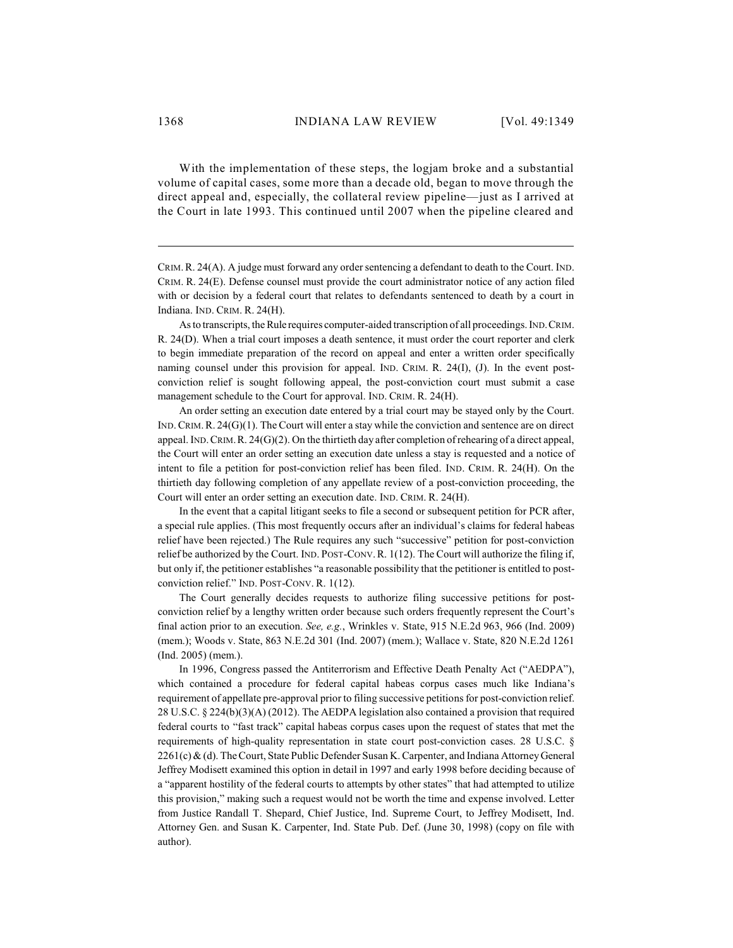With the implementation of these steps, the logjam broke and a substantial volume of capital cases, some more than a decade old, began to move through the direct appeal and, especially, the collateral review pipeline—just as I arrived at the Court in late 1993. This continued until 2007 when the pipeline cleared and

CRIM.R. 24(A). A judge must forward any order sentencing a defendant to death to the Court. IND. CRIM. R. 24(E). Defense counsel must provide the court administrator notice of any action filed with or decision by a federal court that relates to defendants sentenced to death by a court in Indiana. IND. CRIM. R. 24(H).

As to transcripts, the Rule requires computer-aided transcription of all proceedings. IND.CRIM. R. 24(D). When a trial court imposes a death sentence, it must order the court reporter and clerk to begin immediate preparation of the record on appeal and enter a written order specifically naming counsel under this provision for appeal. IND. CRIM. R. 24(I), (J). In the event postconviction relief is sought following appeal, the post-conviction court must submit a case management schedule to the Court for approval. IND. CRIM. R. 24(H).

An order setting an execution date entered by a trial court may be stayed only by the Court. IND.CRIM.R. 24(G)(1). The Court will enter a stay while the conviction and sentence are on direct appeal. IND.CRIM.R. 24(G)(2). On the thirtieth day after completion of rehearing of a direct appeal, the Court will enter an order setting an execution date unless a stay is requested and a notice of intent to file a petition for post-conviction relief has been filed. IND. CRIM. R. 24(H). On the thirtieth day following completion of any appellate review of a post-conviction proceeding, the Court will enter an order setting an execution date. IND. CRIM. R. 24(H).

In the event that a capital litigant seeks to file a second or subsequent petition for PCR after, a special rule applies. (This most frequently occurs after an individual's claims for federal habeas relief have been rejected.) The Rule requires any such "successive" petition for post-conviction relief be authorized by the Court. IND. POST-CONV.R. 1(12). The Court will authorize the filing if, but only if, the petitioner establishes "a reasonable possibility that the petitioner is entitled to postconviction relief." IND. POST-CONV. R. 1(12).

The Court generally decides requests to authorize filing successive petitions for postconviction relief by a lengthy written order because such orders frequently represent the Court's final action prior to an execution. *See, e.g.*, Wrinkles v. State, 915 N.E.2d 963, 966 (Ind. 2009) (mem.); Woods v. State, 863 N.E.2d 301 (Ind. 2007) (mem.); Wallace v. State, 820 N.E.2d 1261 (Ind. 2005) (mem.).

In 1996, Congress passed the Antiterrorism and Effective Death Penalty Act ("AEDPA"), which contained a procedure for federal capital habeas corpus cases much like Indiana's requirement of appellate pre-approval prior to filing successive petitions for post-conviction relief. 28 U.S.C. § 224(b)(3)(A) (2012). The AEDPA legislation also contained a provision that required federal courts to "fast track" capital habeas corpus cases upon the request of states that met the requirements of high-quality representation in state court post-conviction cases. 28 U.S.C. § 2261(c) & (d). The Court, State Public Defender Susan K. Carpenter, and Indiana Attorney General Jeffrey Modisett examined this option in detail in 1997 and early 1998 before deciding because of a "apparent hostility of the federal courts to attempts by other states" that had attempted to utilize this provision," making such a request would not be worth the time and expense involved. Letter from Justice Randall T. Shepard, Chief Justice, Ind. Supreme Court, to Jeffrey Modisett, Ind. Attorney Gen. and Susan K. Carpenter, Ind. State Pub. Def. (June 30, 1998) (copy on file with author).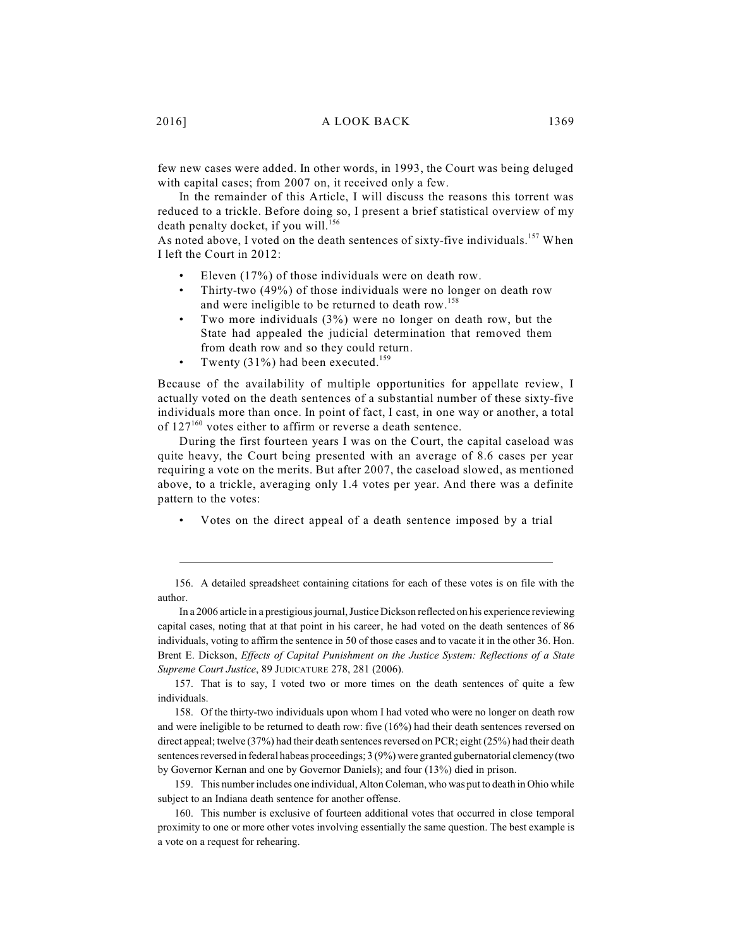few new cases were added. In other words, in 1993, the Court was being deluged with capital cases; from 2007 on, it received only a few.

In the remainder of this Article, I will discuss the reasons this torrent was reduced to a trickle. Before doing so, I present a brief statistical overview of my death penalty docket, if you will.<sup>156</sup>

As noted above, I voted on the death sentences of sixty-five individuals.<sup>157</sup> When I left the Court in 2012:

- Eleven  $(17%)$  of those individuals were on death row.
- Thirty-two (49%) of those individuals were no longer on death row and were ineligible to be returned to death row. 158
- Two more individuals  $(3\%)$  were no longer on death row, but the State had appealed the judicial determination that removed them from death row and so they could return.
- Twenty (31%) had been executed.<sup>159</sup>

Because of the availability of multiple opportunities for appellate review, I actually voted on the death sentences of a substantial number of these sixty-five individuals more than once. In point of fact, I cast, in one way or another, a total of  $127^{160}$  votes either to affirm or reverse a death sentence.

During the first fourteen years I was on the Court, the capital caseload was quite heavy, the Court being presented with an average of 8.6 cases per year requiring a vote on the merits. But after 2007, the caseload slowed, as mentioned above, to a trickle, averaging only 1.4 votes per year. And there was a definite pattern to the votes:

Votes on the direct appeal of a death sentence imposed by a trial

In a 2006 article in a prestigious journal, Justice Dickson reflected on his experience reviewing capital cases, noting that at that point in his career, he had voted on the death sentences of 86 individuals, voting to affirm the sentence in 50 of those cases and to vacate it in the other 36. Hon. Brent E. Dickson, *Effects of Capital Punishment on the Justice System: Reflections of a State Supreme Court Justice*, 89 JUDICATURE 278, 281 (2006).

157. That is to say, I voted two or more times on the death sentences of quite a few individuals.

158. Of the thirty-two individuals upon whom I had voted who were no longer on death row and were ineligible to be returned to death row: five (16%) had their death sentences reversed on direct appeal; twelve (37%) had their death sentences reversed on PCR; eight (25%) had their death sentences reversed in federal habeas proceedings; 3 (9%) were granted gubernatorial clemency(two by Governor Kernan and one by Governor Daniels); and four (13%) died in prison.

159. This number includes one individual, AltonColeman, who was put to death in Ohio while subject to an Indiana death sentence for another offense.

160. This number is exclusive of fourteen additional votes that occurred in close temporal proximity to one or more other votes involving essentially the same question. The best example is a vote on a request for rehearing.

<sup>156.</sup> A detailed spreadsheet containing citations for each of these votes is on file with the author.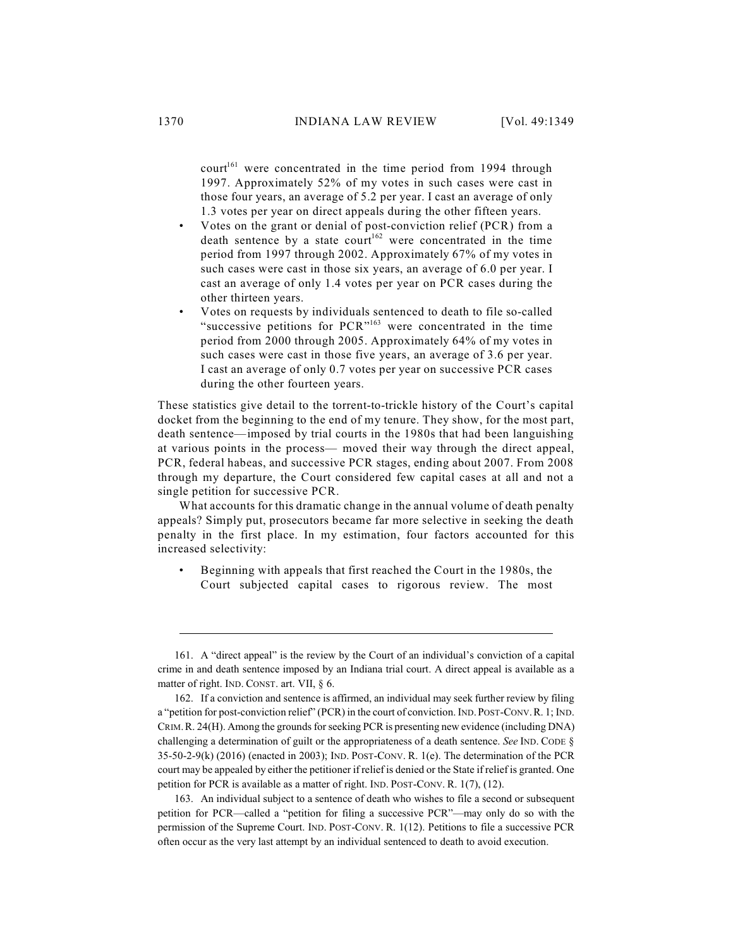court<sup>161</sup> were concentrated in the time period from 1994 through 1997. Approximately 52% of my votes in such cases were cast in those four years, an average of 5.2 per year. I cast an average of only 1.3 votes per year on direct appeals during the other fifteen years.

- Votes on the grant or denial of post-conviction relief (PCR) from a death sentence by a state court<sup>162</sup> were concentrated in the time period from 1997 through 2002. Approximately 67% of my votes in such cases were cast in those six years, an average of 6.0 per year. I cast an average of only 1.4 votes per year on PCR cases during the other thirteen years.
- Votes on requests by individuals sentenced to death to file so-called "successive petitions for  $PCR^{163}$  were concentrated in the time period from 2000 through 2005. Approximately 64% of my votes in such cases were cast in those five years, an average of 3.6 per year. I cast an average of only 0.7 votes per year on successive PCR cases during the other fourteen years.

These statistics give detail to the torrent-to-trickle history of the Court's capital docket from the beginning to the end of my tenure. They show, for the most part, death sentence—imposed by trial courts in the 1980s that had been languishing at various points in the process— moved their way through the direct appeal, PCR, federal habeas, and successive PCR stages, ending about 2007. From 2008 through my departure, the Court considered few capital cases at all and not a single petition for successive PCR.

What accounts for this dramatic change in the annual volume of death penalty appeals? Simply put, prosecutors became far more selective in seeking the death penalty in the first place. In my estimation, four factors accounted for this increased selectivity:

• Beginning with appeals that first reached the Court in the 1980s, the Court subjected capital cases to rigorous review. The most

<sup>161.</sup> A "direct appeal" is the review by the Court of an individual's conviction of a capital crime in and death sentence imposed by an Indiana trial court. A direct appeal is available as a matter of right. IND. CONST. art. VII, § 6.

<sup>162.</sup> If a conviction and sentence is affirmed, an individual may seek further review by filing a "petition for post-conviction relief" (PCR) in the court of conviction. IND.POST-CONV.R. 1; IND. CRIM.R. 24(H). Among the grounds for seeking PCR is presenting new evidence (including DNA) challenging a determination of guilt or the appropriateness of a death sentence. *See* IND. CODE § 35-50-2-9(k) (2016) (enacted in 2003); IND. POST-CONV. R. 1(e). The determination of the PCR court may be appealed by either the petitioner if relief is denied or the State if relief is granted. One petition for PCR is available as a matter of right. IND. POST-CONV. R. 1(7), (12).

<sup>163.</sup> An individual subject to a sentence of death who wishes to file a second or subsequent petition for PCR—called a "petition for filing a successive PCR"—may only do so with the permission of the Supreme Court. IND. POST-CONV. R. 1(12). Petitions to file a successive PCR often occur as the very last attempt by an individual sentenced to death to avoid execution.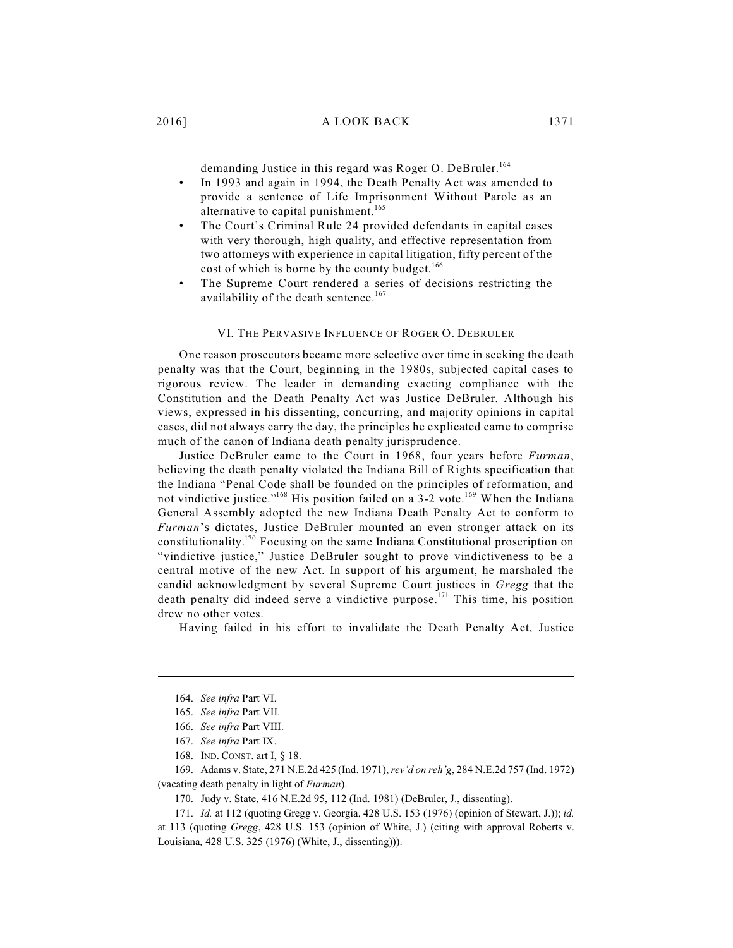demanding Justice in this regard was Roger O. DeBruler. 164

- In 1993 and again in 1994, the Death Penalty Act was amended to provide a sentence of Life Imprisonment Without Parole as an alternative to capital punishment.<sup>165</sup>
- The Court's Criminal Rule 24 provided defendants in capital cases with very thorough, high quality, and effective representation from two attorneys with experience in capital litigation, fifty percent of the cost of which is borne by the county budget.<sup>166</sup>
- The Supreme Court rendered a series of decisions restricting the availability of the death sentence.<sup>167</sup>

#### VI. THE PERVASIVE INFLUENCE OF ROGER O. DEBRULER

One reason prosecutors became more selective over time in seeking the death penalty was that the Court, beginning in the 1980s, subjected capital cases to rigorous review. The leader in demanding exacting compliance with the Constitution and the Death Penalty Act was Justice DeBruler. Although his views, expressed in his dissenting, concurring, and majority opinions in capital cases, did not always carry the day, the principles he explicated came to comprise much of the canon of Indiana death penalty jurisprudence.

Justice DeBruler came to the Court in 1968, four years before *Furman*, believing the death penalty violated the Indiana Bill of Rights specification that the Indiana "Penal Code shall be founded on the principles of reformation, and not vindictive justice."<sup>168</sup> His position failed on a 3-2 vote.<sup>169</sup> When the Indiana General Assembly adopted the new Indiana Death Penalty Act to conform to *Furman*'s dictates, Justice DeBruler mounted an even stronger attack on its constitutionality.<sup>170</sup> Focusing on the same Indiana Constitutional proscription on "vindictive justice," Justice DeBruler sought to prove vindictiveness to be a central motive of the new Act. In support of his argument, he marshaled the candid acknowledgment by several Supreme Court justices in *Gregg* that the death penalty did indeed serve a vindictive purpose.<sup>171</sup> This time, his position drew no other votes.

Having failed in his effort to invalidate the Death Penalty Act, Justice

170. Judy v. State, 416 N.E.2d 95, 112 (Ind. 1981) (DeBruler, J., dissenting).

<sup>164.</sup> *See infra* Part VI.

<sup>165.</sup> *See infra* Part VII.

<sup>166.</sup> *See infra* Part VIII.

<sup>167.</sup> *See infra* Part IX.

<sup>168.</sup> IND. CONST. art I, § 18.

<sup>169.</sup> Adams v. State, 271 N.E.2d 425 (Ind. 1971), *rev'd on reh'g*, 284 N.E.2d 757 (Ind. 1972) (vacating death penalty in light of *Furman*).

<sup>171.</sup> *Id.* at 112 (quoting Gregg v. Georgia, 428 U.S. 153 (1976) (opinion of Stewart, J.)); *id.* at 113 (quoting *Gregg*, 428 U.S. 153 (opinion of White, J.) (citing with approval Roberts v. Louisiana*,* 428 U.S. 325 (1976) (White, J., dissenting))).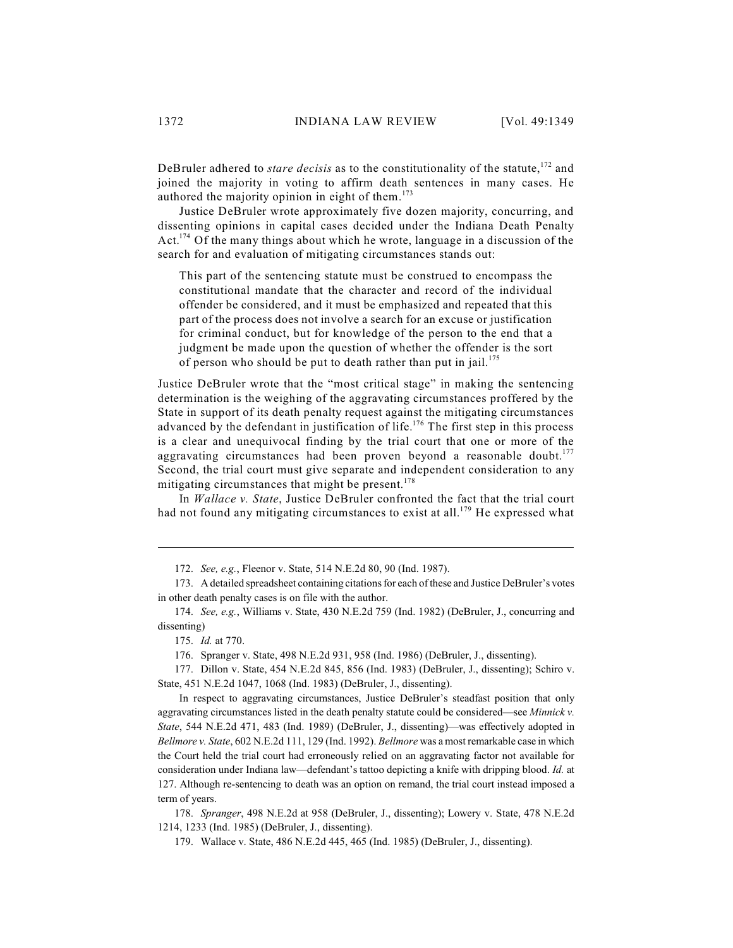DeBruler adhered to *stare decisis* as to the constitutionality of the statute,<sup>172</sup> and joined the majority in voting to affirm death sentences in many cases. He authored the majority opinion in eight of them.<sup>173</sup>

Justice DeBruler wrote approximately five dozen majority, concurring, and dissenting opinions in capital cases decided under the Indiana Death Penalty Act.<sup>174</sup> Of the many things about which he wrote, language in a discussion of the search for and evaluation of mitigating circumstances stands out:

This part of the sentencing statute must be construed to encompass the constitutional mandate that the character and record of the individual offender be considered, and it must be emphasized and repeated that this part of the process does not involve a search for an excuse or justification for criminal conduct, but for knowledge of the person to the end that a judgment be made upon the question of whether the offender is the sort of person who should be put to death rather than put in jail.<sup>175</sup>

Justice DeBruler wrote that the "most critical stage" in making the sentencing determination is the weighing of the aggravating circumstances proffered by the State in support of its death penalty request against the mitigating circumstances advanced by the defendant in justification of life.<sup>176</sup> The first step in this process is a clear and unequivocal finding by the trial court that one or more of the aggravating circumstances had been proven beyond a reasonable doubt.<sup>177</sup> Second, the trial court must give separate and independent consideration to any mitigating circumstances that might be present.<sup>178</sup>

In *Wallace v. State*, Justice DeBruler confronted the fact that the trial court had not found any mitigating circumstances to exist at all.<sup>179</sup> He expressed what

176. Spranger v. State, 498 N.E.2d 931, 958 (Ind. 1986) (DeBruler, J., dissenting).

177. Dillon v. State, 454 N.E.2d 845, 856 (Ind. 1983) (DeBruler, J., dissenting); Schiro v. State, 451 N.E.2d 1047, 1068 (Ind. 1983) (DeBruler, J., dissenting).

In respect to aggravating circumstances, Justice DeBruler's steadfast position that only aggravating circumstances listed in the death penalty statute could be considered—see *Minnick v. State*, 544 N.E.2d 471, 483 (Ind. 1989) (DeBruler, J., dissenting)—was effectively adopted in *Bellmore v. State*, 602 N.E.2d 111, 129 (Ind. 1992). *Bellmore* was a most remarkable case in which the Court held the trial court had erroneously relied on an aggravating factor not available for consideration under Indiana law—defendant's tattoo depicting a knife with dripping blood. *Id.* at 127. Although re-sentencing to death was an option on remand, the trial court instead imposed a term of years.

178. *Spranger*, 498 N.E.2d at 958 (DeBruler, J., dissenting); Lowery v. State, 478 N.E.2d 1214, 1233 (Ind. 1985) (DeBruler, J., dissenting).

179. Wallace v. State, 486 N.E.2d 445, 465 (Ind. 1985) (DeBruler, J., dissenting).

<sup>172.</sup> *See, e.g.*, Fleenor v. State, 514 N.E.2d 80, 90 (Ind. 1987).

<sup>173.</sup> A detailed spreadsheet containing citations for each of these and Justice DeBruler's votes in other death penalty cases is on file with the author.

<sup>174.</sup> *See, e.g.*, Williams v. State, 430 N.E.2d 759 (Ind. 1982) (DeBruler, J., concurring and dissenting)

<sup>175.</sup> *Id.* at 770.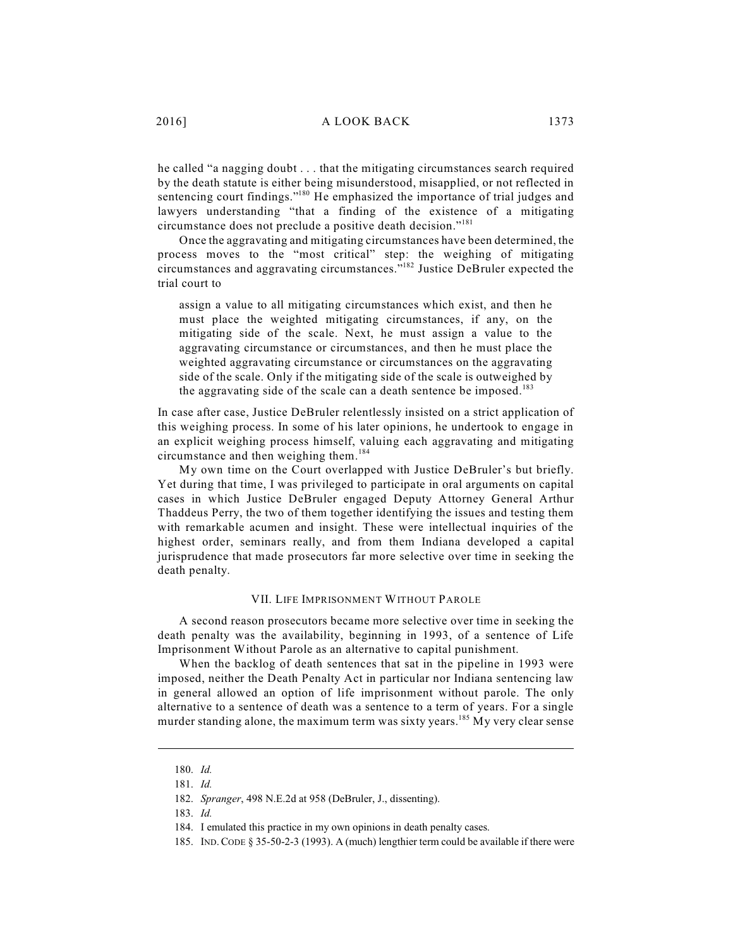he called "a nagging doubt . . . that the mitigating circumstances search required by the death statute is either being misunderstood, misapplied, or not reflected in sentencing court findings."<sup>180</sup> He emphasized the importance of trial judges and lawyers understanding "that a finding of the existence of a mitigating circumstance does not preclude a positive death decision." 181

Once the aggravating and mitigating circumstances have been determined, the process moves to the "most critical" step: the weighing of mitigating circumstances and aggravating circumstances."<sup>182</sup> Justice DeBruler expected the trial court to

assign a value to all mitigating circumstances which exist, and then he must place the weighted mitigating circumstances, if any, on the mitigating side of the scale. Next, he must assign a value to the aggravating circumstance or circumstances, and then he must place the weighted aggravating circumstance or circumstances on the aggravating side of the scale. Only if the mitigating side of the scale is outweighed by the aggravating side of the scale can a death sentence be imposed.<sup>183</sup>

In case after case, Justice DeBruler relentlessly insisted on a strict application of this weighing process. In some of his later opinions, he undertook to engage in an explicit weighing process himself, valuing each aggravating and mitigating circumstance and then weighing them. 184

My own time on the Court overlapped with Justice DeBruler's but briefly. Yet during that time, I was privileged to participate in oral arguments on capital cases in which Justice DeBruler engaged Deputy Attorney General Arthur Thaddeus Perry, the two of them together identifying the issues and testing them with remarkable acumen and insight. These were intellectual inquiries of the highest order, seminars really, and from them Indiana developed a capital jurisprudence that made prosecutors far more selective over time in seeking the death penalty.

#### VII. LIFE IMPRISONMENT WITHOUT PAROLE

A second reason prosecutors became more selective over time in seeking the death penalty was the availability, beginning in 1993, of a sentence of Life Imprisonment Without Parole as an alternative to capital punishment.

When the backlog of death sentences that sat in the pipeline in 1993 were imposed, neither the Death Penalty Act in particular nor Indiana sentencing law in general allowed an option of life imprisonment without parole. The only alternative to a sentence of death was a sentence to a term of years. For a single murder standing alone, the maximum term was sixty years.<sup>185</sup> My very clear sense

<sup>180.</sup> *Id.*

<sup>181.</sup> *Id.*

<sup>182.</sup> *Spranger*, 498 N.E.2d at 958 (DeBruler, J., dissenting).

<sup>183.</sup> *Id.*

<sup>184.</sup> I emulated this practice in my own opinions in death penalty cases.

<sup>185.</sup> IND.CODE § 35-50-2-3 (1993). A (much) lengthier term could be available if there were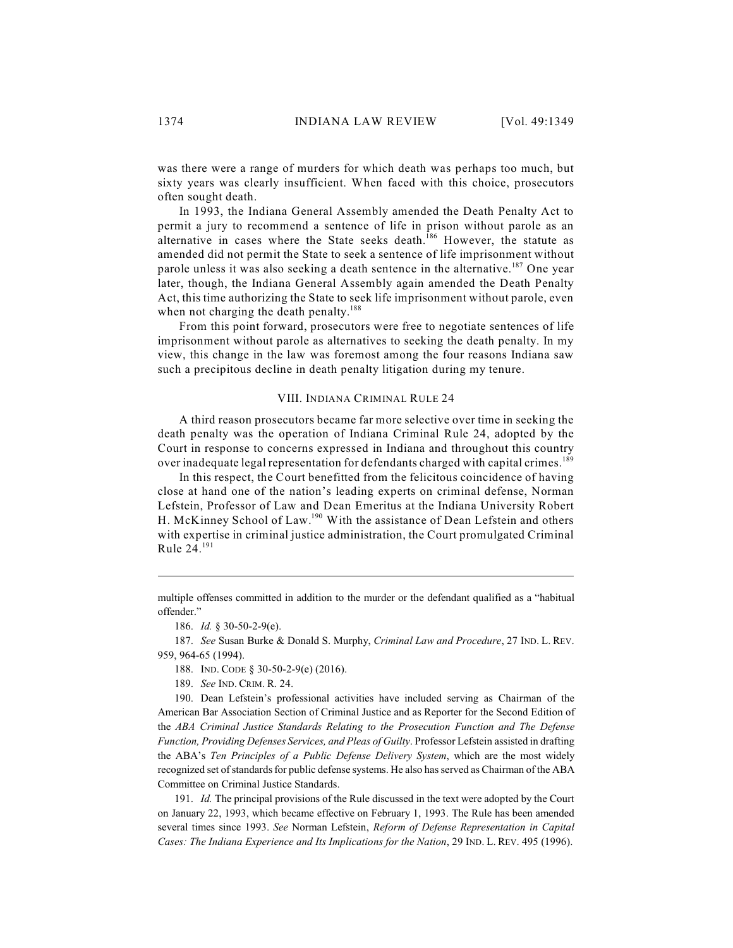was there were a range of murders for which death was perhaps too much, but sixty years was clearly insufficient. When faced with this choice, prosecutors often sought death.

In 1993, the Indiana General Assembly amended the Death Penalty Act to permit a jury to recommend a sentence of life in prison without parole as an alternative in cases where the State seeks death.<sup>186</sup> However, the statute as amended did not permit the State to seek a sentence of life imprisonment without parole unless it was also seeking a death sentence in the alternative.<sup>187</sup> One year later, though, the Indiana General Assembly again amended the Death Penalty Act, this time authorizing the State to seek life imprisonment without parole, even when not charging the death penalty.<sup>188</sup>

From this point forward, prosecutors were free to negotiate sentences of life imprisonment without parole as alternatives to seeking the death penalty. In my view, this change in the law was foremost among the four reasons Indiana saw such a precipitous decline in death penalty litigation during my tenure.

#### VIII. INDIANA CRIMINAL RULE 24

A third reason prosecutors became far more selective over time in seeking the death penalty was the operation of Indiana Criminal Rule 24, adopted by the Court in response to concerns expressed in Indiana and throughout this country over inadequate legal representation for defendants charged with capital crimes.<sup>189</sup>

In this respect, the Court benefitted from the felicitous coincidence of having close at hand one of the nation's leading experts on criminal defense, Norman Lefstein, Professor of Law and Dean Emeritus at the Indiana University Robert H. McKinney School of Law.<sup>190</sup> With the assistance of Dean Lefstein and others with expertise in criminal justice administration, the Court promulgated Criminal Rule 24. 191

189. *See* IND. CRIM. R. 24.

190. Dean Lefstein's professional activities have included serving as Chairman of the American Bar Association Section of Criminal Justice and as Reporter for the Second Edition of the *ABA Criminal Justice Standards Relating to the Prosecution Function and The Defense Function, Providing Defenses Services, and Pleas of Guilty*. Professor Lefstein assisted in drafting the ABA's *Ten Principles of a Public Defense Delivery System*, which are the most widely recognized set of standards for public defense systems. He also has served as Chairman of the ABA Committee on Criminal Justice Standards.

191. *Id.* The principal provisions of the Rule discussed in the text were adopted by the Court on January 22, 1993, which became effective on February 1, 1993. The Rule has been amended several times since 1993. *See* Norman Lefstein, *Reform of Defense Representation in Capital Cases: The Indiana Experience and Its Implications for the Nation*, 29 IND. L. REV. 495 (1996).

multiple offenses committed in addition to the murder or the defendant qualified as a "habitual offender."

<sup>186.</sup> *Id.* § 30-50-2-9(e).

<sup>187.</sup> *See* Susan Burke & Donald S. Murphy, *Criminal Law and Procedure*, 27 IND. L. REV. 959, 964-65 (1994).

<sup>188.</sup> IND. CODE § 30-50-2-9(e) (2016).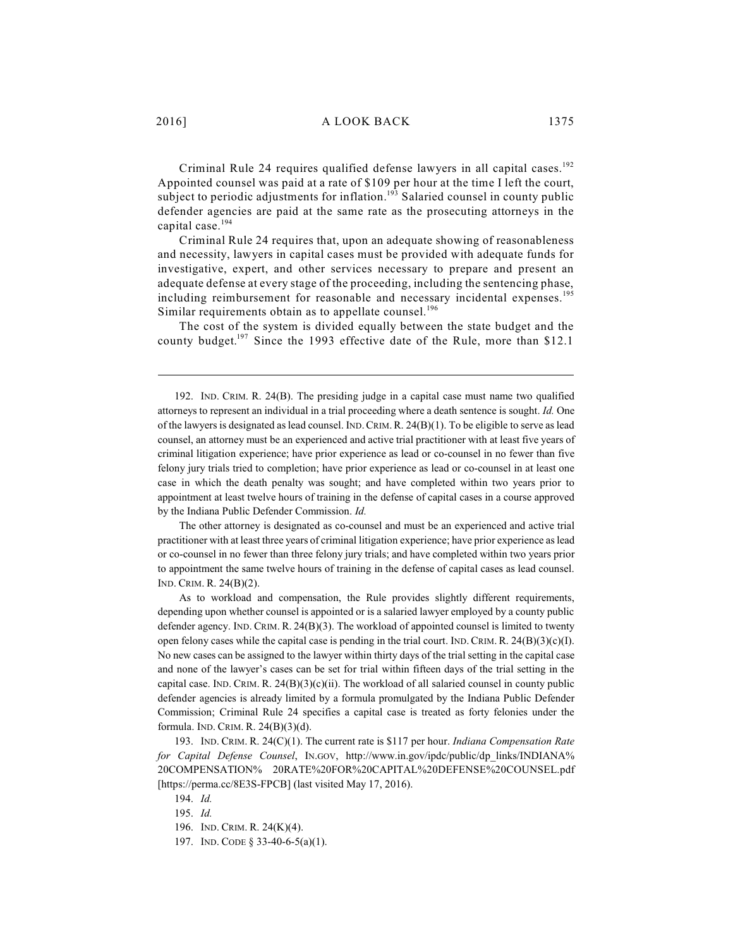Criminal Rule 24 requires qualified defense lawyers in all capital cases.<sup>192</sup> Appointed counsel was paid at a rate of \$109 per hour at the time I left the court, subject to periodic adjustments for inflation.<sup>193</sup> Salaried counsel in county public defender agencies are paid at the same rate as the prosecuting attorneys in the capital case. 194

Criminal Rule 24 requires that, upon an adequate showing of reasonableness and necessity, lawyers in capital cases must be provided with adequate funds for investigative, expert, and other services necessary to prepare and present an adequate defense at every stage of the proceeding, including the sentencing phase, including reimbursement for reasonable and necessary incidental expenses. 195 Similar requirements obtain as to appellate counsel.<sup>196</sup>

The cost of the system is divided equally between the state budget and the county budget.<sup>197</sup> Since the 1993 effective date of the Rule, more than \$12.1

192. IND. CRIM. R. 24(B). The presiding judge in a capital case must name two qualified attorneys to represent an individual in a trial proceeding where a death sentence is sought. *Id.* One of the lawyers is designated as lead counsel. IND. CRIM. R.  $24(B)(1)$ . To be eligible to serve as lead counsel, an attorney must be an experienced and active trial practitioner with at least five years of criminal litigation experience; have prior experience as lead or co-counsel in no fewer than five felony jury trials tried to completion; have prior experience as lead or co-counsel in at least one case in which the death penalty was sought; and have completed within two years prior to appointment at least twelve hours of training in the defense of capital cases in a course approved by the Indiana Public Defender Commission. *Id.* 

The other attorney is designated as co-counsel and must be an experienced and active trial practitioner with at least three years of criminal litigation experience; have prior experience as lead or co-counsel in no fewer than three felony jury trials; and have completed within two years prior to appointment the same twelve hours of training in the defense of capital cases as lead counsel. IND. CRIM. R. 24(B)(2).

As to workload and compensation, the Rule provides slightly different requirements, depending upon whether counsel is appointed or is a salaried lawyer employed by a county public defender agency. IND. CRIM. R. 24(B)(3). The workload of appointed counsel is limited to twenty open felony cases while the capital case is pending in the trial court. IND. CRIM. R.  $24(B)(3)(c)(I)$ . No new cases can be assigned to the lawyer within thirty days of the trial setting in the capital case and none of the lawyer's cases can be set for trial within fifteen days of the trial setting in the capital case. IND. CRIM. R. 24(B)(3)(c)(ii). The workload of all salaried counsel in county public defender agencies is already limited by a formula promulgated by the Indiana Public Defender Commission; Criminal Rule 24 specifies a capital case is treated as forty felonies under the formula. IND. CRIM. R. 24(B)(3)(d).

193. IND. CRIM. R. 24(C)(1). The current rate is \$117 per hour. *Indiana Compensation Rate for Capital Defense Counsel*, IN.GOV, http://www.in.gov/ipdc/public/dp\_links/INDIANA% 20COMPENSATION% 20RATE%20FOR%20CAPITAL%20DEFENSE%20COUNSEL.pdf [https://perma.cc/8E3S-FPCB] (last visited May 17, 2016).

194. *Id.* 195. *Id.*

<sup>196.</sup> IND. CRIM. R. 24(K)(4).

<sup>197.</sup> IND. CODE § 33-40-6-5(a)(1).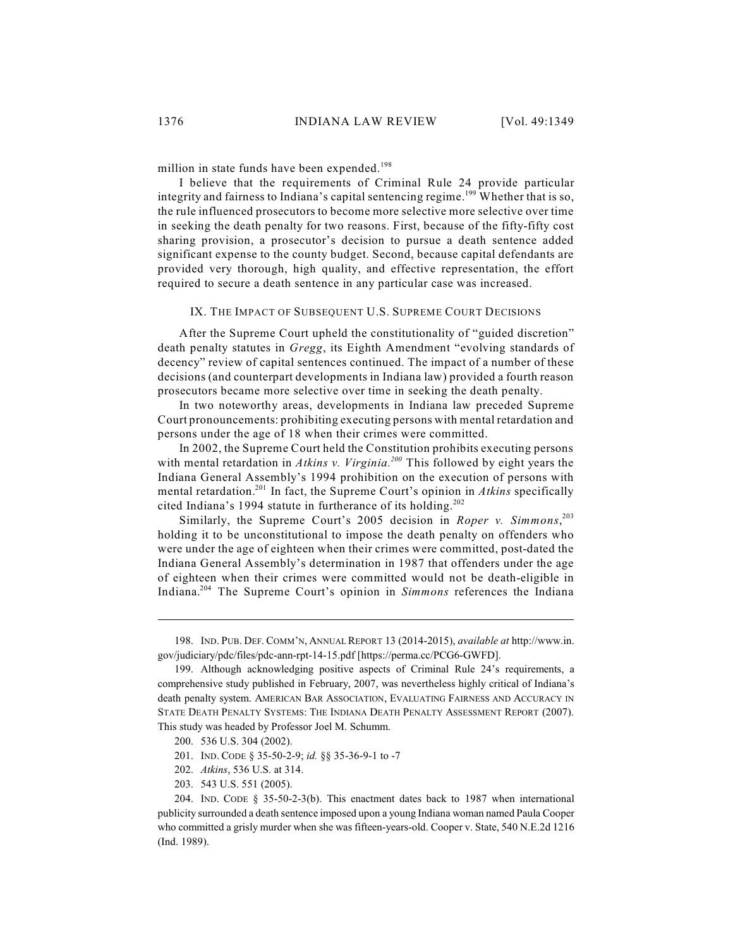million in state funds have been expended. 198

I believe that the requirements of Criminal Rule 24 provide particular integrity and fairness to Indiana's capital sentencing regime.<sup>199</sup> Whether that is so, the rule influenced prosecutors to become more selective more selective over time in seeking the death penalty for two reasons. First, because of the fifty-fifty cost sharing provision, a prosecutor's decision to pursue a death sentence added significant expense to the county budget. Second, because capital defendants are provided very thorough, high quality, and effective representation, the effort required to secure a death sentence in any particular case was increased.

#### IX. THE IMPACT OF SUBSEQUENT U.S. SUPREME COURT DECISIONS

After the Supreme Court upheld the constitutionality of "guided discretion" death penalty statutes in *Gregg*, its Eighth Amendment "evolving standards of decency" review of capital sentences continued. The impact of a number of these decisions (and counterpart developments in Indiana law) provided a fourth reason prosecutors became more selective over time in seeking the death penalty.

In two noteworthy areas, developments in Indiana law preceded Supreme Court pronouncements: prohibiting executing persons with mental retardation and persons under the age of 18 when their crimes were committed.

In 2002, the Supreme Court held the Constitution prohibits executing persons with mental retardation in *Atkins v. Virginia.*<sup>200</sup> This followed by eight years the Indiana General Assembly's 1994 prohibition on the execution of persons with mental retardation.<sup>201</sup> In fact, the Supreme Court's opinion in *Atkins* specifically cited Indiana's 1994 statute in furtherance of its holding. 202

Similarly, the Supreme Court's 2005 decision in *Roper v. Simmons*, 203 holding it to be unconstitutional to impose the death penalty on offenders who were under the age of eighteen when their crimes were committed, post-dated the Indiana General Assembly's determination in 1987 that offenders under the age of eighteen when their crimes were committed would not be death-eligible in Indiana.<sup>204</sup> The Supreme Court's opinion in *Simmons* references the Indiana

<sup>198.</sup> IND. PUB. DEF. COMM'N, ANNUALREPORT 13 (2014-2015), *available at* http://www.in. gov/judiciary/pdc/files/pdc-ann-rpt-14-15.pdf [https://perma.cc/PCG6-GWFD].

<sup>199.</sup> Although acknowledging positive aspects of Criminal Rule 24's requirements, a comprehensive study published in February, 2007, was nevertheless highly critical of Indiana's death penalty system. AMERICAN BAR ASSOCIATION, EVALUATING FAIRNESS AND ACCURACY IN STATE DEATH PENALTY SYSTEMS: THE INDIANA DEATH PENALTY ASSESSMENT REPORT (2007). This study was headed by Professor Joel M. Schumm.

<sup>200.</sup> 536 U.S. 304 (2002).

<sup>201.</sup> IND. CODE § 35-50-2-9; *id.* §§ 35-36-9-1 to -7

<sup>202.</sup> *Atkins*, 536 U.S. at 314.

<sup>203.</sup> 543 U.S. 551 (2005).

<sup>204.</sup> IND. CODE § 35-50-2-3(b). This enactment dates back to 1987 when international publicity surrounded a death sentence imposed upon a young Indiana woman named Paula Cooper who committed a grisly murder when she was fifteen-years-old. Cooper v. State, 540 N.E.2d 1216 (Ind. 1989).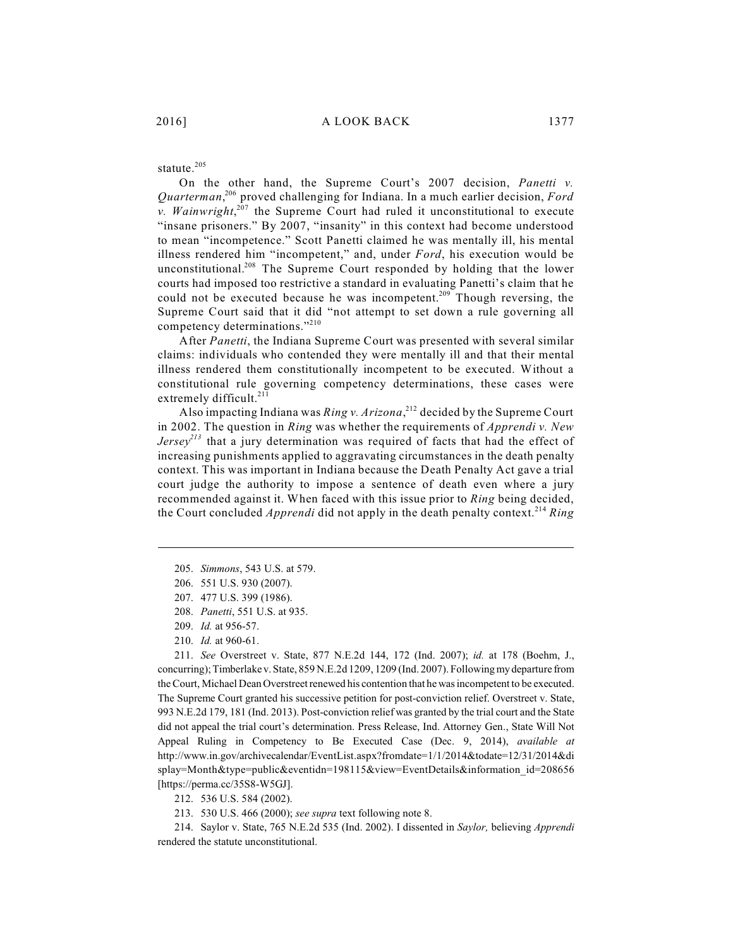#### statute. 205

On the other hand, the Supreme Court's 2007 decision, *Panetti v.* Quarterman,<sup>206</sup> proved challenging for Indiana. In a much earlier decision, *Ford v. Wainwright*, $207$  the Supreme Court had ruled it unconstitutional to execute "insane prisoners." By 2007, "insanity" in this context had become understood to mean "incompetence." Scott Panetti claimed he was mentally ill, his mental illness rendered him "incompetent," and, under *Ford*, his execution would be unconstitutional.<sup>208</sup> The Supreme Court responded by holding that the lower courts had imposed too restrictive a standard in evaluating Panetti's claim that he could not be executed because he was incompetent.<sup>209</sup> Though reversing, the Supreme Court said that it did "not attempt to set down a rule governing all competency determinations."<sup>210</sup>

After *Panetti*, the Indiana Supreme Court was presented with several similar claims: individuals who contended they were mentally ill and that their mental illness rendered them constitutionally incompetent to be executed. Without a constitutional rule governing competency determinations, these cases were extremely difficult.<sup>211</sup>

Also impacting Indiana was *Ring v. Arizona*,<sup>212</sup> decided by the Supreme Court in 2002. The question in *Ring* was whether the requirements of *Apprendi v. New Jersey*<sup>213</sup> that a jury determination was required of facts that had the effect of increasing punishments applied to aggravating circumstances in the death penalty context. This was important in Indiana because the Death Penalty Act gave a trial court judge the authority to impose a sentence of death even where a jury recommended against it. When faced with this issue prior to *Ring* being decided, the Court concluded *Apprendi* did not apply in the death penalty context.<sup>214</sup> Ring

205. *Simmons*, 543 U.S. at 579.

- 207. 477 U.S. 399 (1986).
- 208. *Panetti*, 551 U.S. at 935.
- 209. *Id.* at 956-57.
- 210. *Id.* at 960-61.

211. *See* Overstreet v. State, 877 N.E.2d 144, 172 (Ind. 2007); *id.* at 178 (Boehm, J., concurring); Timberlake v. State, 859 N.E.2d 1209, 1209 (Ind. 2007). Following my departure from the Court, Michael Dean Overstreet renewed his contention that he was incompetent to be executed. The Supreme Court granted his successive petition for post-conviction relief. Overstreet v. State, 993 N.E.2d 179, 181 (Ind. 2013). Post-conviction relief was granted by the trial court and the State did not appeal the trial court's determination. Press Release, Ind. Attorney Gen., State Will Not Appeal Ruling in Competency to Be Executed Case (Dec. 9, 2014), *available at* http://www.in.gov/archivecalendar/EventList.aspx?fromdate=1/1/2014&todate=12/31/2014&di splay=Month&type=public&eventidn=198115&view=EventDetails&information\_id=208656 [https://perma.cc/35S8-W5GJ].

212. 536 U.S. 584 (2002).

213. 530 U.S. 466 (2000); *see supra* text following note 8.

214. Saylor v. State, 765 N.E.2d 535 (Ind. 2002). I dissented in *Saylor,* believing *Apprendi* rendered the statute unconstitutional.

<sup>206.</sup> 551 U.S. 930 (2007).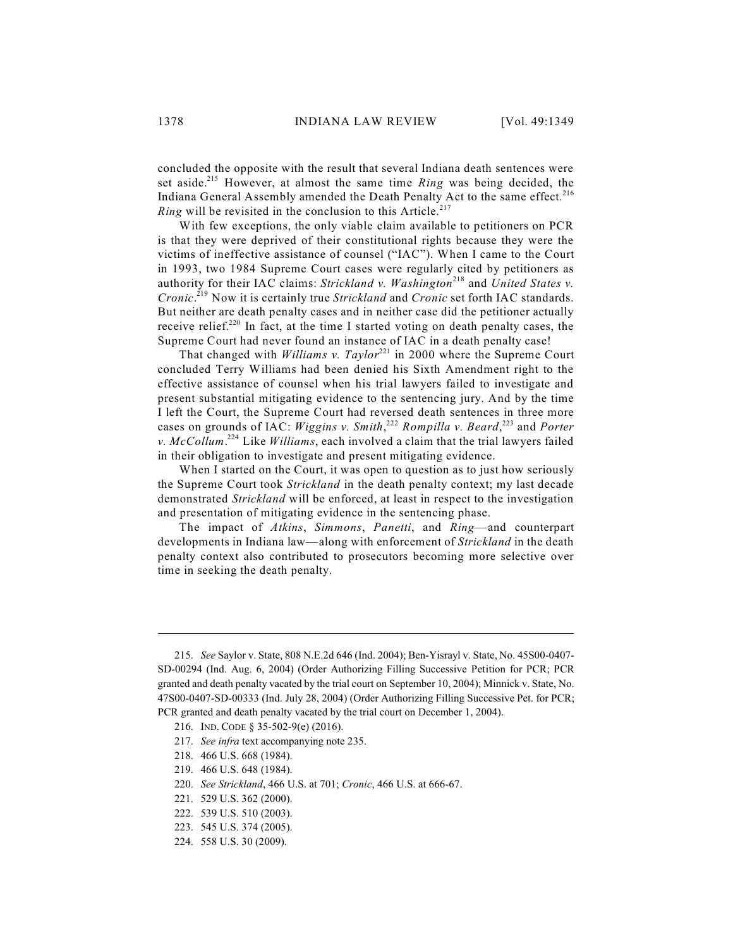concluded the opposite with the result that several Indiana death sentences were set aside.<sup>215</sup> However, at almost the same time *Ring* was being decided, the Indiana General Assembly amended the Death Penalty Act to the same effect.<sup>216</sup> *Ring* will be revisited in the conclusion to this Article. 217

With few exceptions, the only viable claim available to petitioners on PCR is that they were deprived of their constitutional rights because they were the victims of ineffective assistance of counsel ("IAC"). When I came to the Court in 1993, two 1984 Supreme Court cases were regularly cited by petitioners as authority for their IAC claims: *Strickland v. Washington*<sup>218</sup> and *United States v. Cronic*.<sup>219</sup> Now it is certainly true *Strickland* and *Cronic* set forth IAC standards. But neither are death penalty cases and in neither case did the petitioner actually receive relief.<sup>220</sup> In fact, at the time I started voting on death penalty cases, the Supreme Court had never found an instance of IAC in a death penalty case!

That changed with *Williams v. Taylor*<sup>221</sup> in 2000 where the Supreme Court concluded Terry Williams had been denied his Sixth Amendment right to the effective assistance of counsel when his trial lawyers failed to investigate and present substantial mitigating evidence to the sentencing jury. And by the time I left the Court, the Supreme Court had reversed death sentences in three more cases on grounds of IAC: *Wiggins v. Smith*,<sup>222</sup> *Rompilla v. Beard*,<sup>223</sup> and *Porter* v.  $McCollum.<sup>224</sup> Like Williams, each involved a claim that the trial lawyers failed$ in their obligation to investigate and present mitigating evidence.

When I started on the Court, it was open to question as to just how seriously the Supreme Court took *Strickland* in the death penalty context; my last decade demonstrated *Strickland* will be enforced, at least in respect to the investigation and presentation of mitigating evidence in the sentencing phase.

The impact of *Atkins*, *Simmons*, *Panetti*, and *Ring*—and counterpart developments in Indiana law—along with enforcement of *Strickland* in the death penalty context also contributed to prosecutors becoming more selective over time in seeking the death penalty.

218. 466 U.S. 668 (1984).

<sup>215.</sup> *See* Saylor v. State, 808 N.E.2d 646 (Ind. 2004); Ben-Yisrayl v. State, No. 45S00-0407- SD-00294 (Ind. Aug. 6, 2004) (Order Authorizing Filling Successive Petition for PCR; PCR granted and death penalty vacated by the trial court on September 10, 2004); Minnick v. State, No. 47S00-0407-SD-00333 (Ind. July 28, 2004) (Order Authorizing Filling Successive Pet. for PCR; PCR granted and death penalty vacated by the trial court on December 1, 2004).

<sup>216.</sup> IND. CODE § 35-502-9(e) (2016).

<sup>217.</sup> *See infra* text accompanying note 235.

<sup>219.</sup> 466 U.S. 648 (1984).

<sup>220.</sup> *See Strickland*, 466 U.S. at 701; *Cronic*, 466 U.S. at 666-67.

<sup>221.</sup> 529 U.S. 362 (2000).

<sup>222.</sup> 539 U.S. 510 (2003).

<sup>223.</sup> 545 U.S. 374 (2005).

<sup>224.</sup> 558 U.S. 30 (2009).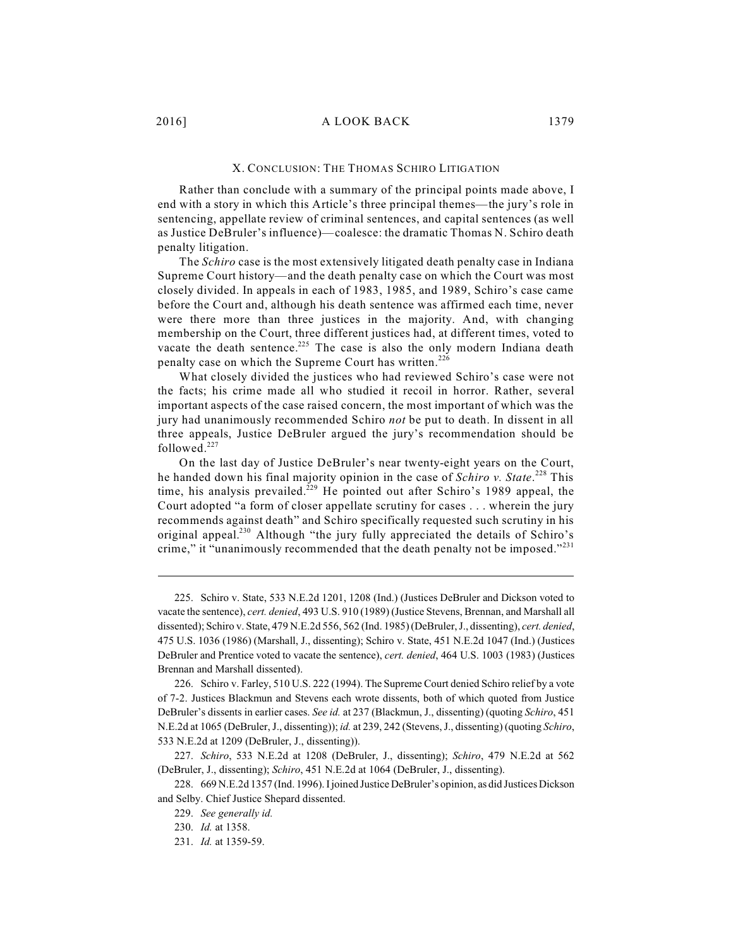#### X. CONCLUSION: THE THOMAS SCHIRO LITIGATION

Rather than conclude with a summary of the principal points made above, I end with a story in which this Article's three principal themes—the jury's role in sentencing, appellate review of criminal sentences, and capital sentences (as well as Justice DeBruler's influence)—coalesce: the dramatic Thomas N. Schiro death penalty litigation.

The *Schiro* case is the most extensively litigated death penalty case in Indiana Supreme Court history—and the death penalty case on which the Court was most closely divided. In appeals in each of 1983, 1985, and 1989, Schiro's case came before the Court and, although his death sentence was affirmed each time, never were there more than three justices in the majority. And, with changing membership on the Court, three different justices had, at different times, voted to vacate the death sentence.<sup>225</sup> The case is also the only modern Indiana death penalty case on which the Supreme Court has written.<sup>226</sup>

What closely divided the justices who had reviewed Schiro's case were not the facts; his crime made all who studied it recoil in horror. Rather, several important aspects of the case raised concern, the most important of which was the jury had unanimously recommended Schiro *not* be put to death. In dissent in all three appeals, Justice DeBruler argued the jury's recommendation should be followed.<sup>227</sup>

On the last day of Justice DeBruler's near twenty-eight years on the Court, he handed down his final majority opinion in the case of *Schiro v. State*. This 228 time, his analysis prevailed.<sup>229</sup> He pointed out after Schiro's 1989 appeal, the Court adopted "a form of closer appellate scrutiny for cases . . . wherein the jury recommends against death" and Schiro specifically requested such scrutiny in his original appeal.<sup>230</sup> Although "the jury fully appreciated the details of Schiro's crime," it "unanimously recommended that the death penalty not be imposed."<sup>231</sup>

<sup>225.</sup> Schiro v. State, 533 N.E.2d 1201, 1208 (Ind.) (Justices DeBruler and Dickson voted to vacate the sentence), *cert. denied*, 493 U.S. 910 (1989) (Justice Stevens, Brennan, and Marshall all dissented); Schiro v. State, 479 N.E.2d 556, 562 (Ind. 1985) (DeBruler, J., dissenting), *cert. denied*, 475 U.S. 1036 (1986) (Marshall, J., dissenting); Schiro v. State, 451 N.E.2d 1047 (Ind.) (Justices DeBruler and Prentice voted to vacate the sentence), *cert. denied*, 464 U.S. 1003 (1983) (Justices Brennan and Marshall dissented).

<sup>226.</sup> Schiro v. Farley, 510 U.S. 222 (1994). The Supreme Court denied Schiro relief by a vote of 7-2. Justices Blackmun and Stevens each wrote dissents, both of which quoted from Justice DeBruler's dissents in earlier cases. *See id.* at 237 (Blackmun, J., dissenting) (quoting *Schiro*, 451 N.E.2d at 1065 (DeBruler, J., dissenting)); *id.* at 239, 242 (Stevens, J., dissenting) (quoting *Schiro*, 533 N.E.2d at 1209 (DeBruler, J., dissenting)).

<sup>227.</sup> *Schiro*, 533 N.E.2d at 1208 (DeBruler, J., dissenting); *Schiro*, 479 N.E.2d at 562 (DeBruler, J., dissenting); *Schiro*, 451 N.E.2d at 1064 (DeBruler, J., dissenting).

<sup>228.</sup> 669 N.E.2d 1357 (Ind. 1996). I joined Justice DeBruler's opinion, as did Justices Dickson and Selby. Chief Justice Shepard dissented.

<sup>229.</sup> *See generally id.* 

<sup>230.</sup> *Id.* at 1358.

<sup>231.</sup> *Id.* at 1359-59.